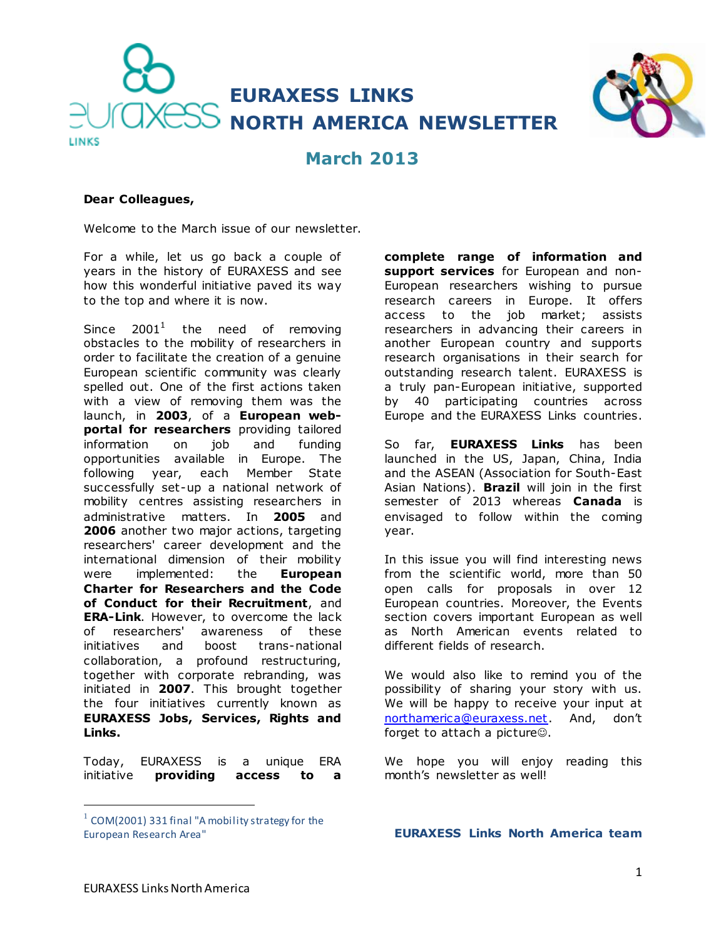



# **March 2013**

### **Dear Colleagues,**

Welcome to the March issue of our newsletter.

For a while, let us go back a couple of years in the history of EURAXESS and see how this wonderful initiative paved its way to the top and where it is now.

Since  $2001<sup>1</sup>$ the need of removing obstacles to the mobility of researchers in order to facilitate the creation of a genuine European scientific community was clearly spelled out. One of the first actions taken with a view of removing them was the launch, in **2003**, of a **European webportal for researchers** providing tailored information on job and funding opportunities available in Europe. The following year, each Member State successfully set-up a national network of mobility centres assisting researchers in administrative matters. In **2005** and **2006** another two major actions, targeting researchers' career development and the international dimension of their mobility were implemented: the **European Charter for Researchers and the Code of Conduct for their Recruitment**, and **ERA-Link**. However, to overcome the lack of researchers' awareness of these initiatives and boost trans-national collaboration, a profound restructuring, together with corporate rebranding, was initiated in **2007**. This brought together the four initiatives currently known as **EURAXESS Jobs, Services, Rights and Links.**

Today, EURAXESS is a unique ERA initiative **providing access to a** 

 $1$  COM(2001) 331 final "A mobility strategy for the European Research Area"

**complete range of information and support services** for European and non-European researchers wishing to pursue research careers in Europe. It offers access to the job market; assists researchers in advancing their careers in another European country and supports research organisations in their search for outstanding research talent. EURAXESS is a truly pan-European initiative, supported by 40 participating countries across Europe and the EURAXESS Links countries.

So far, **EURAXESS Links** has been launched in the US, Japan, China, India and the ASEAN (Association for South-East Asian Nations). **Brazil** will join in the first semester of 2013 whereas **Canada** is envisaged to follow within the coming year.

In this issue you will find interesting news from the scientific world, more than 50 open calls for proposals in over 12 European countries. Moreover, the Events section covers important European as well as North American events related to different fields of research.

We would also like to remind you of the possibility of sharing your story with us. We will be happy to receive your input at [northamerica@euraxess.net](mailto:northamerica@euraxess.net). And, don't forget to attach a picture $\odot$ .

We hope you will enjoy reading this month's newsletter as well!

## **EURAXESS Links North America team**

 $\overline{a}$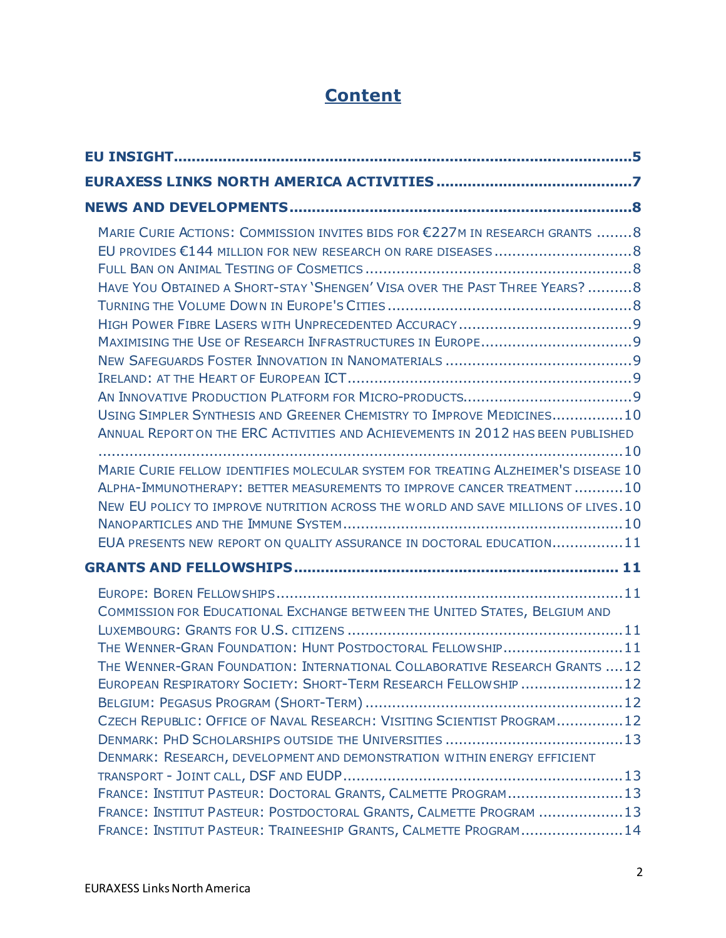# **Content**

| MARIE CURIE ACTIONS: COMMISSION INVITES BIDS FOR €227M IN RESEARCH GRANTS 8<br>HAVE YOU OBTAINED A SHORT-STAY 'SHENGEN' VISA OVER THE PAST THREE YEARS? 8<br>USING SIMPLER SYNTHESIS AND GREENER CHEMISTRY TO IMPROVE MEDICINES10<br>ANNUAL REPORT ON THE ERC ACTIVITIES AND ACHIEVEMENTS IN 2012 HAS BEEN PUBLISHED                                                                                                                                                                                                                                                                                                                                         |
|--------------------------------------------------------------------------------------------------------------------------------------------------------------------------------------------------------------------------------------------------------------------------------------------------------------------------------------------------------------------------------------------------------------------------------------------------------------------------------------------------------------------------------------------------------------------------------------------------------------------------------------------------------------|
| MARIE CURIE FELLOW IDENTIFIES MOLECULAR SYSTEM FOR TREATING ALZHEIMER'S DISEASE 10<br>ALPHA-IMMUNOTHERAPY: BETTER MEASUREMENTS TO IMPROVE CANCER TREATMENT 10<br>NEW EU POLICY TO IMPROVE NUTRITION ACROSS THE WORLD AND SAVE MILLIONS OF LIVES. 10<br>EUA PRESENTS NEW REPORT ON QUALITY ASSURANCE IN DOCTORAL EDUCATION11                                                                                                                                                                                                                                                                                                                                  |
|                                                                                                                                                                                                                                                                                                                                                                                                                                                                                                                                                                                                                                                              |
| COMMISSION FOR EDUCATIONAL EXCHANGE BETWEEN THE UNITED STATES, BELGIUM AND<br>THE WENNER-GRAN FOUNDATION: HUNT POSTDOCTORAL FELLOWSHIP11<br>THE WENNER-GRAN FOUNDATION: INTERNATIONAL COLLABORATIVE RESEARCH GRANTS  12<br>EUROPEAN RESPIRATORY SOCIETY: SHORT-TERM RESEARCH FELLOWSHIP 12<br>CZECH REPUBLIC: OFFICE OF NAVAL RESEARCH: VISITING SCIENTIST PROGRAM12<br>DENMARK: RESEARCH, DEVELOPMENT AND DEMONSTRATION WITHIN ENERGY EFFICIENT<br>FRANCE: INSTITUT PASTEUR: DOCTORAL GRANTS, CALMETTE PROGRAM13<br>FRANCE: INSTITUT PASTEUR: POSTDOCTORAL GRANTS, CALMETTE PROGRAM  13<br>FRANCE: INSTITUT PASTEUR: TRAINEESHIP GRANTS, CALMETTE PROGRAM14 |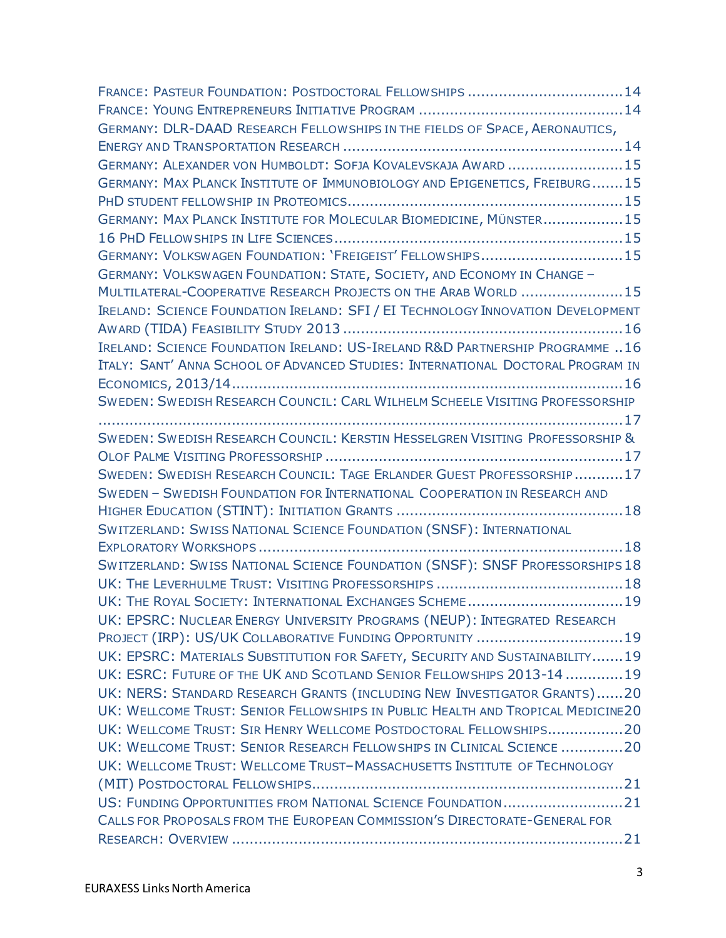| FRANCE: PASTEUR FOUNDATION: POSTDOCTORAL FELLOW SHIPS 14                         |
|----------------------------------------------------------------------------------|
|                                                                                  |
| GERMANY: DLR-DAAD RESEARCH FELLOWSHIPS IN THE FIELDS OF SPACE, AERONAUTICS,      |
|                                                                                  |
| GERMANY: ALEXANDER VON HUMBOLDT: SOFJA KOVALEVSKAJA AWARD 15                     |
| GERMANY: MAX PLANCK INSTITUTE OF IMMUNOBIOLOGY AND EPIGENETICS, FREIBURG15       |
|                                                                                  |
| GERMANY: MAX PLANCK INSTITUTE FOR MOLECULAR BIOMEDICINE, MÜNSTER15               |
|                                                                                  |
| GERMANY: VOLKSWAGEN FOUNDATION: 'FREIGEIST' FELLOWSHIPS15                        |
| <b>GERMANY: VOLKSWAGEN FOUNDATION: STATE, SOCIETY, AND ECONOMY IN CHANGE -</b>   |
| MULTILATERAL-COOPERATIVE RESEARCH PROJECTS ON THE ARAB WORLD 15                  |
| IRELAND: SCIENCE FOUNDATION IRELAND: SFI / EI TECHNOLOGY INNOVATION DEVELOPMENT  |
|                                                                                  |
| IRELAND: SCIENCE FOUNDATION IRELAND: US-IRELAND R&D PARTNERSHIP PROGRAMME  16    |
| ITALY: SANT' ANNA SCHOOL OF ADVANCED STUDIES: INTERNATIONAL DOCTORAL PROGRAM IN  |
|                                                                                  |
| SWEDEN: SWEDISH RESEARCH COUNCIL: CARL WILHELM SCHEELE VISITING PROFESSORSHIP    |
|                                                                                  |
| SWEDEN: SWEDISH RESEARCH COUNCIL: KERSTIN HESSELGREN VISITING PROFESSORSHIP &    |
|                                                                                  |
| SWEDEN: SWEDISH RESEARCH COUNCIL: TAGE ERLANDER GUEST PROFESSORSHIP 17           |
| <b>SWEDEN - SWEDISH FOUNDATION FOR INTERNATIONAL COOPERATION IN RESEARCH AND</b> |
|                                                                                  |
| SWITZERLAND: SWISS NATIONAL SCIENCE FOUNDATION (SNSF): INTERNATIONAL             |
|                                                                                  |
| SWITZERLAND: SWISS NATIONAL SCIENCE FOUNDATION (SNSF): SNSF PROFESSORSHIPS 18    |
|                                                                                  |
| UK: THE ROYAL SOCIETY: INTERNATIONAL EXCHANGES SCHEME19                          |
| UK: EPSRC: NUCLEAR ENERGY UNIVERSITY PROGRAMS (NEUP): INTEGRATED RESEARCH        |
| PROJECT (IRP): US/UK COLLABORATIVE FUNDING OPPORTUNITY 19                        |
| UK: EPSRC: MATERIALS SUBSTITUTION FOR SAFETY, SECURITY AND SUSTAINABILITY19      |
| UK: ESRC: FUTURE OF THE UK AND SCOTLAND SENIOR FELLOWSHIPS 2013-14 19            |
| UK: NERS: STANDARD RESEARCH GRANTS (INCLUDING NEW INVESTIGATOR GRANTS)20         |
| UK: WELLCOME TRUST: SENIOR FELLOWSHIPS IN PUBLIC HEALTH AND TROPICAL MEDICINE20  |
| UK: WELLCOME TRUST: SIR HENRY WELLCOME POSTDOCTORAL FELLOWSHIPS20                |
| UK: WELLCOME TRUST: SENIOR RESEARCH FELLOWSHIPS IN CLINICAL SCIENCE 20           |
| UK: WELLCOME TRUST: WELLCOME TRUST-MASSACHUSETTS INSTITUTE OF TECHNOLOGY         |
|                                                                                  |
| US: FUNDING OPPORTUNITIES FROM NATIONAL SCIENCE FOUNDATION21                     |
| CALLS FOR PROPOSALS FROM THE EUROPEAN COMMISSION'S DIRECTORATE-GENERAL FOR       |
|                                                                                  |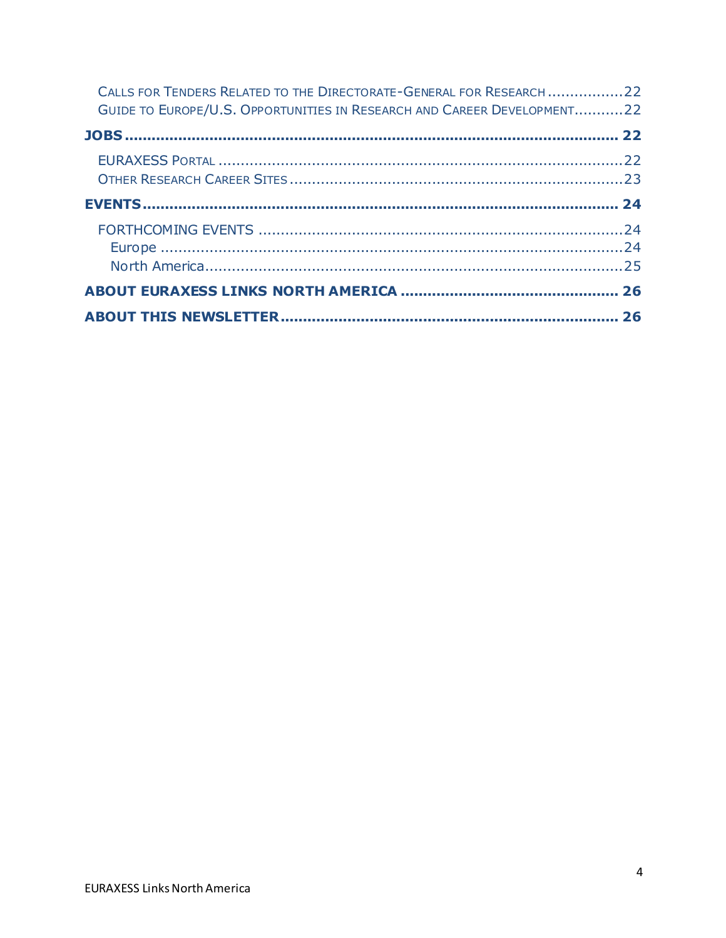| CALLS FOR TENDERS RELATED TO THE DIRECTORATE-GENERAL FOR RESEARCH 22<br>GUIDE TO EUROPE/U.S. OPPORTUNITIES IN RESEARCH AND CAREER DEVELOPMENT22 |  |
|-------------------------------------------------------------------------------------------------------------------------------------------------|--|
|                                                                                                                                                 |  |
|                                                                                                                                                 |  |
|                                                                                                                                                 |  |
|                                                                                                                                                 |  |
|                                                                                                                                                 |  |
|                                                                                                                                                 |  |
|                                                                                                                                                 |  |
|                                                                                                                                                 |  |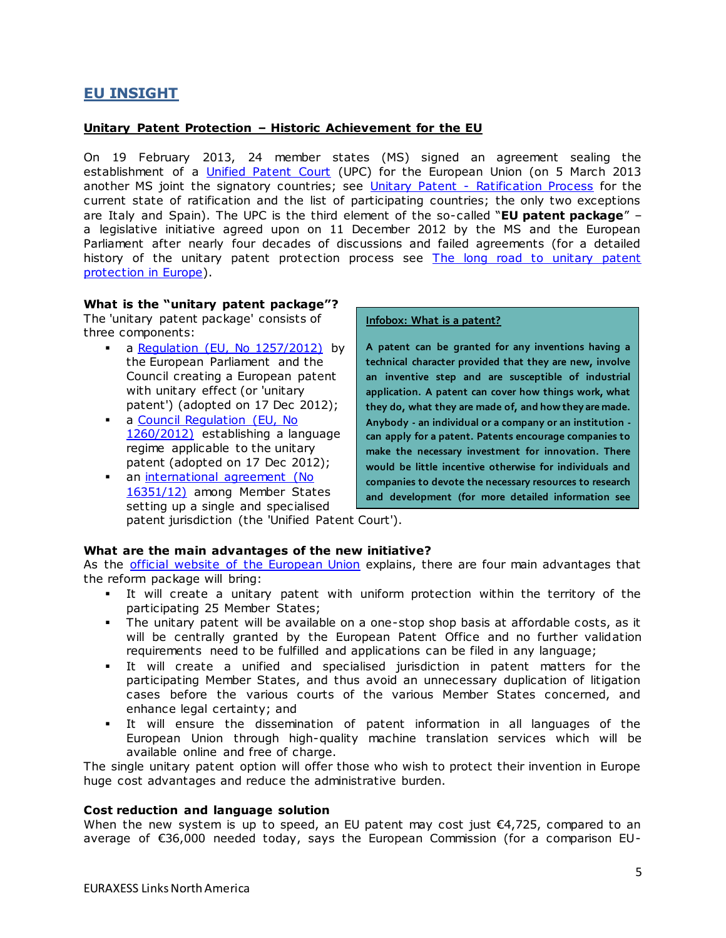# <span id="page-4-0"></span>**EU INSIGHT**

## **Unitary Patent Protection – Historic Achievement for the EU**

On 19 February 2013, 24 member states (MS) signed an agreement sealing the establishment of a [Unified Patent Court](http://www.epo.org/law-practice/unitary/patent-court.html) (UPC) for the European Union (on 5 March 2013 another MS joint the signatory countries; see Unitary Patent - [Ratification Process](http://ec.europa.eu/internal_market/indprop/patent/ratification/index_en.htm) for the current state of ratification and the list of participating countries; the only two exceptions are Italy and Spain). The UPC is the third element of the so-called "**EU patent package**" – a legislative initiative agreed upon on 11 December 2012 by the MS and the European Parliament after nearly four decades of discussions and failed agreements (for a detailed history of the unitary patent protection process see The long road to unitary patent [protection in Europe\)](http://www.consilium.europa.eu/uedocs/cms_data/docs/pressdata/en/intm/134393.pdf).

## **What is the "unitary patent package"?**

The 'unitary patent package' consists of three components:

- a [Regulation \(EU, No 1257/2012\)](http://eur-lex.europa.eu/LexUriServ/LexUriServ.do?uri=OJ:L:2012:361:0001:0008:EN:PDF) by the European Parliament and the Council creating a European patent with unitary effect (or 'unitary patent') (adopted on 17 Dec 2012);
- a [Council Regulation \(EU, No](http://eur-lex.europa.eu/LexUriServ/LexUriServ.do?uri=OJ:L:2012:361:0089:0092:EN:PDF)  [1260/2012\)](http://eur-lex.europa.eu/LexUriServ/LexUriServ.do?uri=OJ:L:2012:361:0089:0092:EN:PDF) establishing a language regime applicable to the unitary patent (adopted on 17 Dec 2012);
- an international agreement (No [16351/12\)](http://register.consilium.europa.eu/pdf/en/12/st16/st16351.en12.pdf) among Member States setting up a single and specialised patent jurisdiction (the 'Unified Patent [Court'\).](http://ec.europa.eu/internal_market/indprop/patent/faqs/index_en.htm#maincontentSec2)

### **Infobox: What is a patent?**

**A patent can be granted for any inventions having a technical character provided that they are new, involve an inventive step and are susceptible of industrial application. A patent can cover how things work, what they do, what they are made of, and how they are made. Anybody - an individual or a company or an institution can apply for a patent. Patents encourage companies to make the necessary investment for innovation. There would be little incentive otherwise for individuals and companies to devote the necessary resources to research and development (for more detailed information see** 

# **What are the main advantages of the new initiative?**

As the [official website of the European Union](http://europa.eu/rapid/press-release_MEMO-12-970_en.htm?locale=en) explains, there are four main advantages that the reform package will bring:

- It will create a unitary patent with uniform protection within the territory of the participating 25 Member States;
- The unitary patent will be available on a one-stop shop basis at affordable costs, as it will be centrally granted by the European Patent Office and no further validation requirements need to be fulfilled and applications can be filed in any language;
- It will create a unified and specialised jurisdiction in patent matters for the participating Member States, and thus avoid an unnecessary duplication of litigation cases before the various courts of the various Member States concerned, and enhance legal certainty; and
- It will ensure the dissemination of patent information in all languages of the European Union through high-quality machine translation services which will be available online and free of charge.

The single unitary patent option will offer those who wish to protect their invention in Europe huge cost advantages and reduce the administrative burden.

### **Cost reduction and language solution**

When the new system is up to speed, an EU patent may cost just  $\epsilon$ 4,725, compared to an average of €36,000 needed today, says the European Commission (for a comparison EU-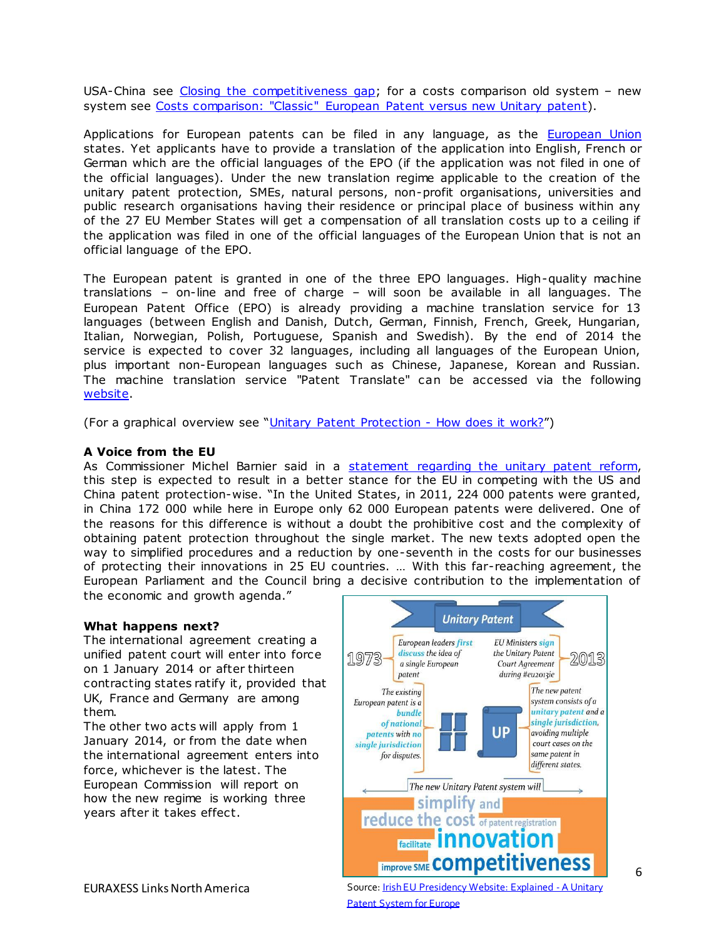USA-China see [Closing the competitiveness gap;](http://ec.europa.eu/internal_market/indprop/docs/patent/faqs/competitiveness_en.pdf) for a costs comparison old system - new system see [Costs comparison: "Classic" European Patent versus new Unitary patent\)](http://ec.europa.eu/internal_market/indprop/docs/patent/faqs/cost-comparison_en.pdf).

Applications for European patents can be filed in any language, as the [European Union](http://europa.eu/rapid/press-release_MEMO-12-970_en.htm?locale=en) states. Yet applicants have to provide a translation of the application into English, French or German which are the official languages of the EPO (if the application was not filed in one of the official languages). Under the new translation regime applicable to the creation of the unitary patent protection, SMEs, natural persons, non-profit organisations, universities and public research organisations having their residence or principal place of business within any of the 27 EU Member States will get a compensation of all translation costs up to a ceiling if the application was filed in one of the official languages of the European Union that is not an official language of the EPO.

The European patent is granted in one of the three EPO languages. High-quality machine translations – on-line and free of charge – will soon be available in all languages. The European Patent Office (EPO) is already providing a machine translation service for 13 languages (between English and Danish, Dutch, German, Finnish, French, Greek, Hungarian, Italian, Norwegian, Polish, Portuguese, Spanish and Swedish). By the end of 2014 the service is expected to cover 32 languages, including all languages of the European Union, plus important non-European languages such as Chinese, Japanese, Korean and Russian. The machine translation service "Patent Translate" can be accessed via the following [website.](http://www.epo.org/searching/free/patent-translate.html)

(For a graphical overview see "[Unitary Patent Protection -](http://ec.europa.eu/internal_market/indprop/docs/patent/faqs/how-does-it-work_en.pdf) How does it work?")

# **A Voice from the EU**

As Commissioner Michel Barnier said in a [statement regarding the unitary patent reform,](http://ec.europa.eu/enterprise/newsroom/cf/itemdetail.cfm?item_id=6324) this step is expected to result in a better stance for the EU in competing with the US and China patent protection-wise. "In the United States, in 2011, 224 000 patents were granted, in China 172 000 while here in Europe only 62 000 European patents were delivered. One of the reasons for this difference is without a doubt the prohibitive cost and the complexity of obtaining patent protection throughout the single market. The new texts adopted open the way to simplified procedures and a reduction by one-seventh in the costs for our businesses of protecting their innovations in 25 EU countries. … With this far-reaching agreement, the European Parliament and the Council bring a decisive contribution to the implementation of

the economic and growth agenda."

# **What happens next?**

The international agreement creating a unified patent court will enter into force on 1 January 2014 or after thirteen contracting states ratify it, provided that UK, France and Germany are among them.

The other two acts will apply from 1 January 2014, or from the date when the international agreement enters into force, whichever is the latest. The European Commission will report on how the new regime is working three years after it takes effect.



Source: [Irish EU Presidency Website: Explained -](http://www.eu2013.ie/news/news-items/20130219upcfeature/) A Unitary [Patent System for Europe](http://www.eu2013.ie/news/news-items/20130219upcfeature/)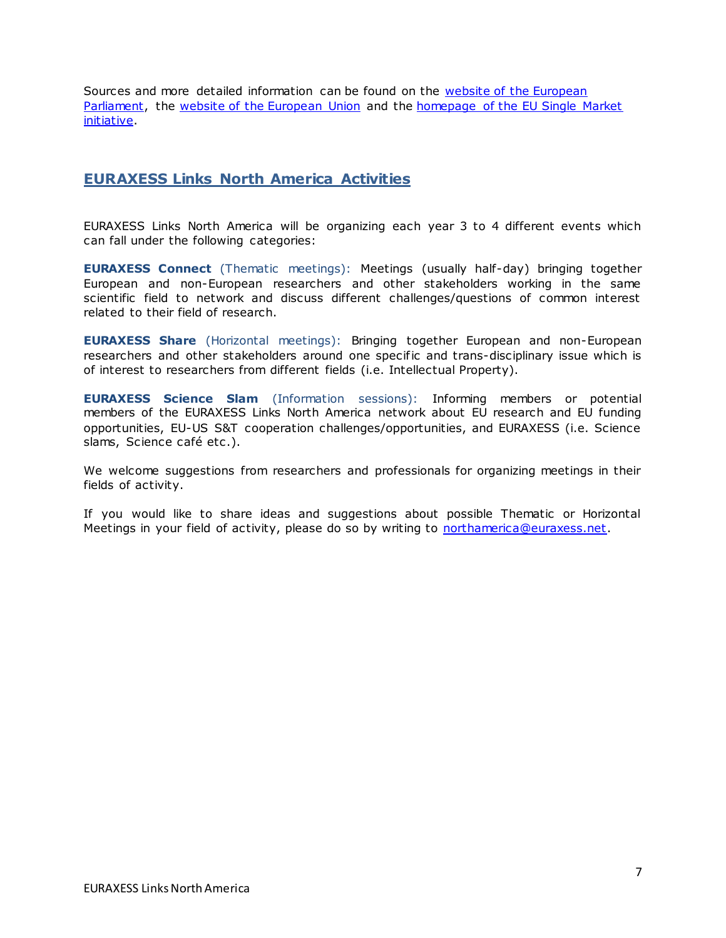Sources and more detailed information can be found on the [website of the European](http://www.europarl.europa.eu/news/en/pressroom/content/20121205BKG57397/html/The-new-EU-unitary-patent-QA)  [Parliament,](http://www.europarl.europa.eu/news/en/pressroom/content/20121205BKG57397/html/The-new-EU-unitary-patent-QA) the [website of the European Union](http://europa.eu/rapid/press-release_MEMO-12-970_en.htm?locale=en) and the [homepage of the EU Single Market](http://ec.europa.eu/internal_market/indprop/patent/faqs/index_en.htm#maincontentSec2)  [initiative.](http://ec.europa.eu/internal_market/indprop/patent/faqs/index_en.htm#maincontentSec2)

# <span id="page-6-0"></span>**EURAXESS Links North America Activities**

EURAXESS Links North America will be organizing each year 3 to 4 different events which can fall under the following categories:

**EURAXESS Connect** (Thematic meetings): Meetings (usually half-day) bringing together European and non-European researchers and other stakeholders working in the same scientific field to network and discuss different challenges/questions of common interest related to their field of research.

**EURAXESS Share** (Horizontal meetings): Bringing together European and non-European researchers and other stakeholders around one specific and trans-disciplinary issue which is of interest to researchers from different fields (i.e. Intellectual Property).

**EURAXESS Science Slam** (Information sessions): Informing members or potential members of the EURAXESS Links North America network about EU research and EU funding opportunities, EU-US S&T cooperation challenges/opportunities, and EURAXESS (i.e. Science slams, Science café etc.).

We welcome suggestions from researchers and professionals for organizing meetings in their fields of activity.

If you would like to share ideas and suggestions about possible Thematic or Horizontal Meetings in your field of activity, please do so by writing to northamerica@euraxess.net.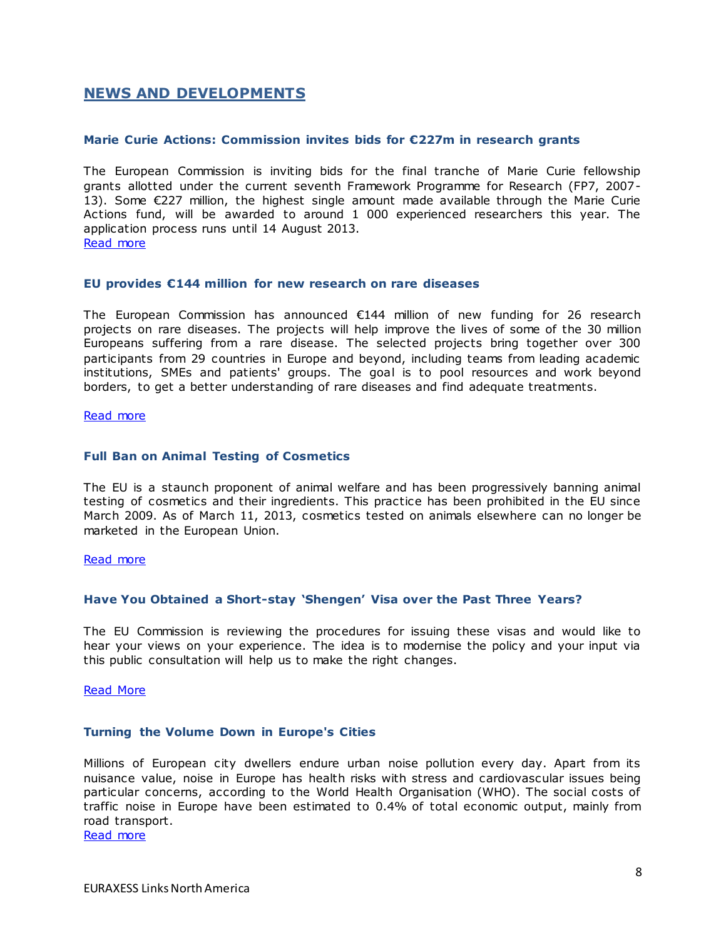# <span id="page-7-0"></span>**NEWS AND DEVELOPMENTS**

### <span id="page-7-1"></span>**Marie Curie Actions: Commission invites bids for €227m in research grants**

The European Commission is inviting bids for the final tranche of Marie Curie fellowship grants allotted under the current seventh Framework Programme for Research (FP7, 2007- 13). Some €227 million, the highest single amount made available through the Marie Curie Actions fund, will be awarded to around 1 000 experienced researchers this year. The application process runs until 14 August 2013. [Read more](http://europa.eu/rapid/press-release_IP-13-223_en.htm?locale=en)

### <span id="page-7-2"></span>**EU provides €144 million for new research on rare diseases**

The European Commission has announced €144 million of new funding for 26 research projects on rare diseases. The projects will help improve the lives of some of the 30 million Europeans suffering from a rare disease. The selected projects bring together over 300 participants from 29 countries in Europe and beyond, including teams from leading academic institutions, SMEs and patients' groups. The goal is to pool resources and work beyond borders, to get a better understanding of rare diseases and find adequate treatments.

### [Read more](http://europa.eu/rapid/press-release_IP-13-169_en.htm?locale=en)

## <span id="page-7-3"></span>**Full Ban on Animal Testing of Cosmetics**

The EU is a staunch proponent of animal welfare and has been progressively banning animal testing of cosmetics and their ingredients. This practice has been prohibited in the EU since March 2009. As of March 11, 2013, cosmetics tested on animals elsewhere can no longer be marketed in the European Union.

### [Read more](http://ec.europa.eu/consumers/sectors/cosmetics/animal-testing/index_en.htm)

# <span id="page-7-4"></span>**Have You Obtained a Short-stay 'Shengen' Visa over the Past Three Years?**

The EU Commission is reviewing the procedures for issuing these visas and would like to hear your views on your experience. The idea is to modernise the policy and your input via this public consultation will help us to make the right changes.

[Read More](http://www.euintheus.org/press-media/have-you-obtained-a-short-stay-schengen-visa-over-the-past-three-years/)

### <span id="page-7-5"></span>**Turning the Volume Down in Europe's Cities**

Millions of European city dwellers endure urban noise pollution every day. Apart from its nuisance value, noise in Europe has health risks with stress and cardiovascular issues being particular concerns, according to the World Health Organisation (WHO). The social costs of traffic noise in Europe have been estimated to 0.4% of total economic output, mainly from road transport. [Read more](http://ec.europa.eu/research/infocentre/article_en.cfm?id=/research/headlines/news/article_13_03_13_en.html&item=Infocentre&artid=29353)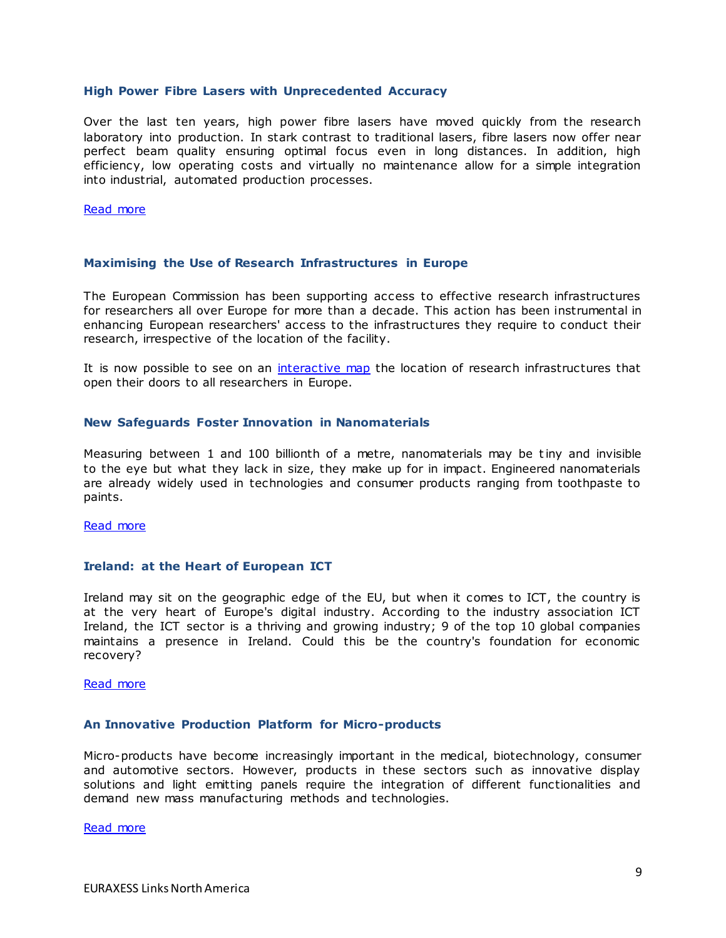### <span id="page-8-0"></span>**High Power Fibre Lasers with Unprecedented Accuracy**

Over the last ten years, high power fibre lasers have moved quickly from the research laboratory into production. In stark contrast to traditional lasers, fibre lasers now offer near perfect beam quality ensuring optimal focus even in long distances. In addition, high efficiency, low operating costs and virtually no maintenance allow for a simple integration into industrial, automated production processes.

[Read more](http://ec.europa.eu/research/infocentre/article_en.cfm?id=/research/headlines/news/article_13_03_15_en.html&item=Infocentre&artid=29373)

### <span id="page-8-1"></span>**Maximising the Use of Research Infrastructures in Europe**

The European Commission has been supporting access to effective research infrastructures for researchers all over Europe for more than a decade. This action has been instrumental in enhancing European researchers' access to the infrastructures they require to conduct their research, irrespective of the location of the facility.

It is now possible to see on an [interactive map](http://ec.europa.eu/research/infrastructures/index_en.cfm?pg=mapri) the location of research infrastructures that open their doors to all researchers in Europe.

### <span id="page-8-2"></span>**New Safeguards Foster Innovation in Nanomaterials**

Measuring between 1 and 100 billionth of a metre, nanomaterials may be tiny and invisible to the eye but what they lack in size, they make up for in impact. Engineered nanomaterials are already widely used in technologies and consumer products ranging from toothpaste to paints.

### [Read more](http://ec.europa.eu/research/infocentre/article_en.cfm?id=/research/headlines/news/article_13_03_20_en.html&item=Infocentre&artid=29433)

## <span id="page-8-3"></span>**Ireland: at the Heart of European ICT**

Ireland may sit on the geographic edge of the EU, but when it comes to ICT, the country is at the very heart of Europe's digital industry. According to the industry association ICT Ireland, the ICT sector is a thriving and growing industry; 9 of the top 10 global companies maintains a presence in Ireland. Could this be the country's foundation for economic recovery?

[Read more](http://ec.europa.eu/research/infocentre/article_en.cfm?id=/research/headlines/news/article_13_03_17_en.html&item=Infocentre&artid=29393)

### <span id="page-8-4"></span>**An Innovative Production Platform for Micro-products**

Micro-products have become increasingly important in the medical, biotechnology, consumer and automotive sectors. However, products in these sectors such as innovative display solutions and light emitting panels require the integration of different functionalities and demand new mass manufacturing methods and technologies.

[Read more](http://ec.europa.eu/research/infocentre/article_en.cfm?id=/research/headlines/news/article_13_03_22_en.html&item=All&artid=29473&caller=AllHeadlines)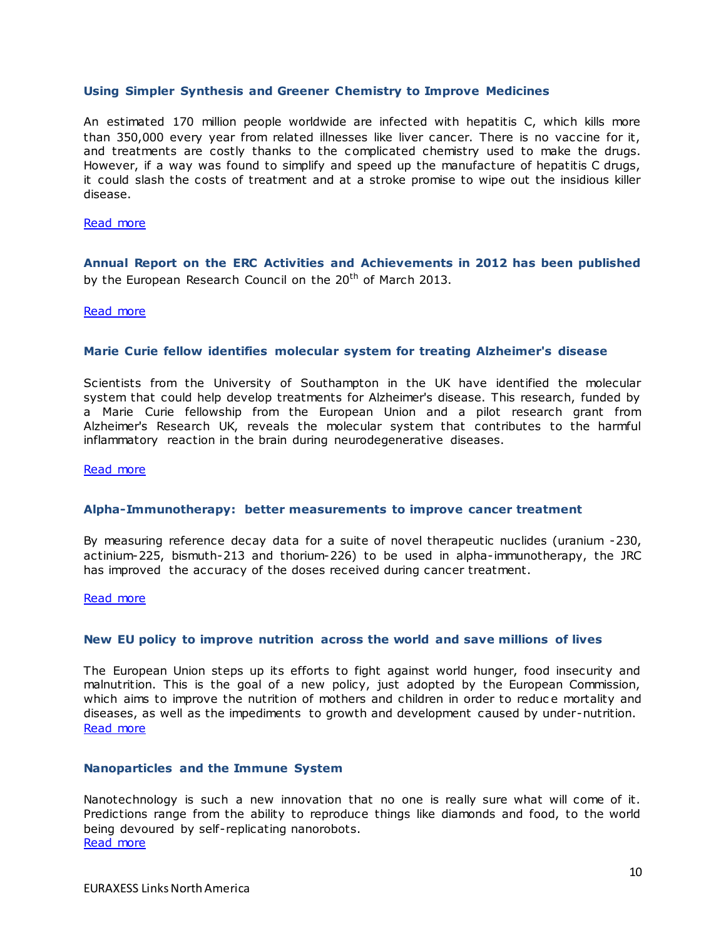### <span id="page-9-0"></span>**Using Simpler Synthesis and Greener Chemistry to Improve Medicines**

An estimated 170 million people worldwide are infected with hepatitis C, which kills more than 350,000 every year from related illnesses like liver cancer. There is no vaccine for it, and treatments are costly thanks to the complicated chemistry used to make the drugs. However, if a way was found to simplify and speed up the manufacture of hepatitis C drugs, it could slash the costs of treatment and at a stroke promise to wipe out the insidious killer disease.

### [Read more](http://ec.europa.eu/research/infocentre/article_en.cfm?id=/research/headlines/news/article_13_03_25_en.html&item=All&artid=29493&caller=AllHeadlines)

<span id="page-9-1"></span>**Annual Report on the ERC Activities and Achievements in 2012 has been published** by the European Research Council on the 20<sup>th</sup> of March 2013.

### [Read more](http://erc.europa.eu/sites/default/files/document/file/erc_annual_report_2012.pdf)

### <span id="page-9-2"></span>**Marie Curie fellow identifies molecular system for treating Alzheimer's disease**

Scientists from the University of Southampton in the UK have identified the molecular system that could help develop treatments for Alzheimer's disease. This research, funded by a Marie Curie fellowship from the European Union and a pilot research grant from Alzheimer's Research UK, reveals the molecular system that contributes to the harmful inflammatory reaction in the brain during neurodegenerative diseases.

[Read more](http://ec.europa.eu/research/mariecurieactions/news-events/news/2013/azheimer_en.htm)

### <span id="page-9-3"></span>**Alpha-Immunotherapy: better measurements to improve cancer treatment**

By measuring reference decay data for a suite of novel therapeutic nuclides (uranium -230, actinium-225, bismuth-213 and thorium-226) to be used in alpha-immunotherapy, the JRC has improved the accuracy of the doses received during cancer treatment.

### [Read more](http://ec.europa.eu/dgs/jrc/index.cfm?id=1410&obj_id=16460&dt_code=NWS&lang=en&ori=HLN)

### <span id="page-9-4"></span>**New EU policy to improve nutrition across the world and save millions of lives**

The European Union steps up its efforts to fight against world hunger, food insecurity and malnutrition. This is the goal of a new policy, just adopted by the European Commission, which aims to improve the nutrition of mothers and children in order to reduce mortality and diseases, as well as the impediments to growth and development caused by under-nutrition. [Read more](http://europa.eu/rapid/press-release_IP-13-221_en.htm?locale=en)

### <span id="page-9-5"></span>**Nanoparticles and the Immune System**

Nanotechnology is such a new innovation that no one is really sure what will come of it. Predictions range from the ability to reproduce things like diamonds and food, to the world being devoured by self-replicating nanorobots. [Read more](http://cordis.europa.eu/fetch?CALLER=EN_NEWS&ACTION=D&SESSION=&RCN=35512)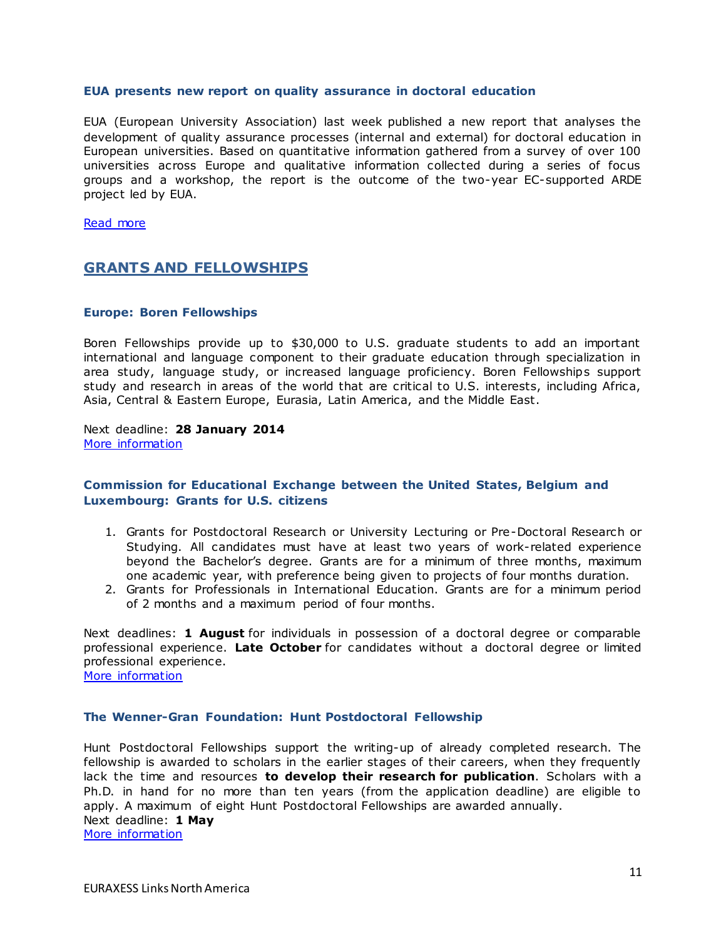### <span id="page-10-0"></span>**EUA presents new report on quality assurance in doctoral education**

EUA (European University Association) last week published a new report that analyses the development of quality assurance processes (internal and external) for doctoral education in European universities. Based on quantitative information gathered from a survey of over 100 universities across Europe and qualitative information collected during a series of focus groups and a workshop, the report is the outcome of the two-year EC-supported ARDE project led by EUA.

<span id="page-10-1"></span>[Read more](http://www.eua.be/News/13-03-07/EUA_presents_new_report_on_quality_assurance_in_doctoral_education.aspx)

# **GRANTS AND FELLOWSHIPS**

### <span id="page-10-2"></span>**Europe: Boren Fellowships**

Boren Fellowships provide up to \$30,000 to U.S. graduate students to add an important international and language component to their graduate education through specialization in area study, language study, or increased language proficiency. Boren Fellowships support study and research in areas of the world that are critical to U.S. interests, including Africa, Asia, Central & Eastern Europe, Eurasia, Latin America, and the Middle East.

Next deadline: **28 January 2014** [More information](http://www.borenawards.org/boren_fellowship)

## <span id="page-10-3"></span>**Commission for Educational Exchange between the United States, Belgium and Luxembourg: Grants for U.S. citizens**

- 1. Grants for Postdoctoral Research or University Lecturing or Pre-Doctoral Research or Studying. All candidates must have at least two years of work-related experience beyond the Bachelor's degree. Grants are for a minimum of three months, maximum one academic year, with preference being given to projects of four months duration.
- 2. Grants for Professionals in International Education. Grants are for a minimum period of 2 months and a maximum period of four months.

Next deadlines: **1 August** for individuals in possession of a doctoral degree or comparable professional experience. **Late October** for candidates without a doctoral degree or limited professional experience.

[More information](http://www.fulbright.be/fulbright-awards/fulbright-schuman/grants-for-us-citizens/)

## <span id="page-10-4"></span>**The Wenner-Gran Foundation: Hunt Postdoctoral Fellowship**

Hunt Postdoctoral Fellowships support the writing-up of already completed research. The fellowship is awarded to scholars in the earlier stages of their careers, when they frequently lack the time and resources **to develop their research for publication**. Scholars with a Ph.D. in hand for no more than ten years (from the application deadline) are eligible to apply. A maximum of eight Hunt Postdoctoral Fellowships are awarded annually. Next deadline: **1 May** [More information](http://www.wennergren.org/programs/hunt-postdoctoral-fellowships)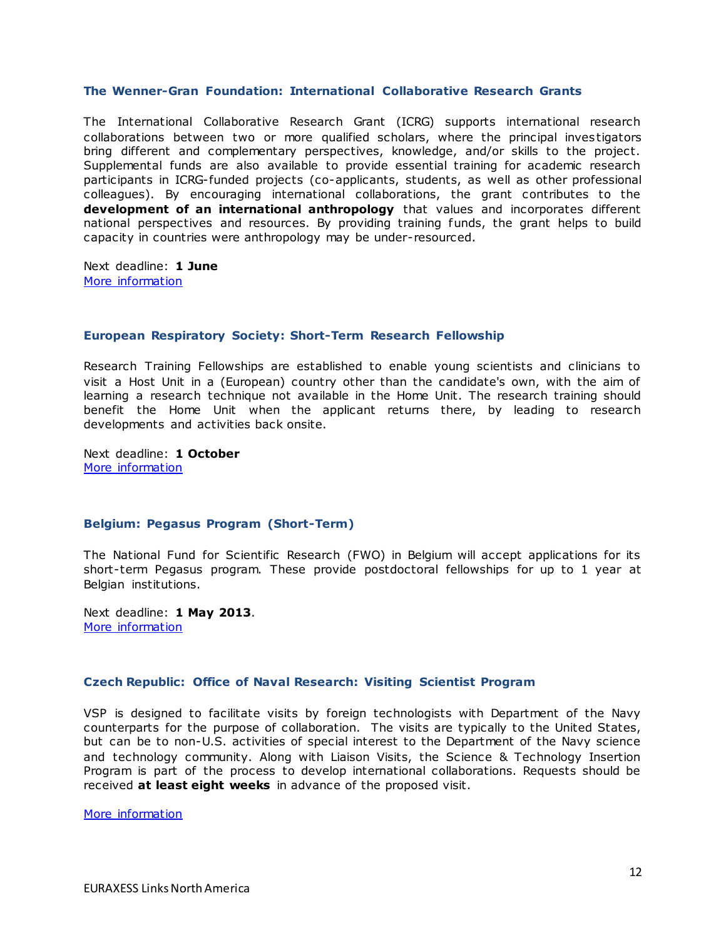### <span id="page-11-0"></span>**The Wenner-Gran Foundation: International Collaborative Research Grants**

The International Collaborative Research Grant (ICRG) supports international research collaborations between two or more qualified scholars, where the principal inves tigators bring different and complementary perspectives, knowledge, and/or skills to the project. Supplemental funds are also available to provide essential training for academic research participants in ICRG-funded projects (co-applicants, students, as well as other professional colleagues). By encouraging international collaborations, the grant contributes to the **development of an international anthropology** that values and incorporates different national perspectives and resources. By providing training funds, the grant helps to build capacity in countries were anthropology may be under-resourced.

Next deadline: **1 June** [More information](http://www.wennergren.org/programs/international-collaborative-research-grants)

### <span id="page-11-1"></span>**European Respiratory Society: Short-Term Research Fellowship**

Research Training Fellowships are established to enable young scientists and clinicians to visit a Host Unit in a (European) country other than the candidate's own, with the aim of learning a research technique not available in the Home Unit. The research training should benefit the Home Unit when the applicant returns there, by leading to research developments and activities back onsite.

Next deadline: **1 October** [More information](http://www.ersnet.org/ers-funding/fellowships/short-term.html)

### <span id="page-11-2"></span>**Belgium: Pegasus Program (Short-Term)**

The National Fund for Scientific Research (FWO) in Belgium will accept applications for its short-term Pegasus program. These provide postdoctoral fellowships for up to 1 year at Belgian institutions.

Next deadline: **1 May 2013**. [More information](http://www.fwo.be/Pegasus-Marie-Curie-fellowships-postdoc.aspx)

### <span id="page-11-3"></span>**Czech Republic: Office of Naval Research: Visiting Scientist Program**

VSP is designed to facilitate visits by foreign technologists with Department of the Navy counterparts for the purpose of collaboration. The visits are typically to the United States, but can be to non-U.S. activities of special interest to the Department of the Navy science and technology community. Along with Liaison Visits, the Science & Technology Insertion Program is part of the process to develop international collaborations. Requests should be received **at least eight weeks** in advance of the proposed visit.

[More information](http://prague.usembassy.gov/onr.html)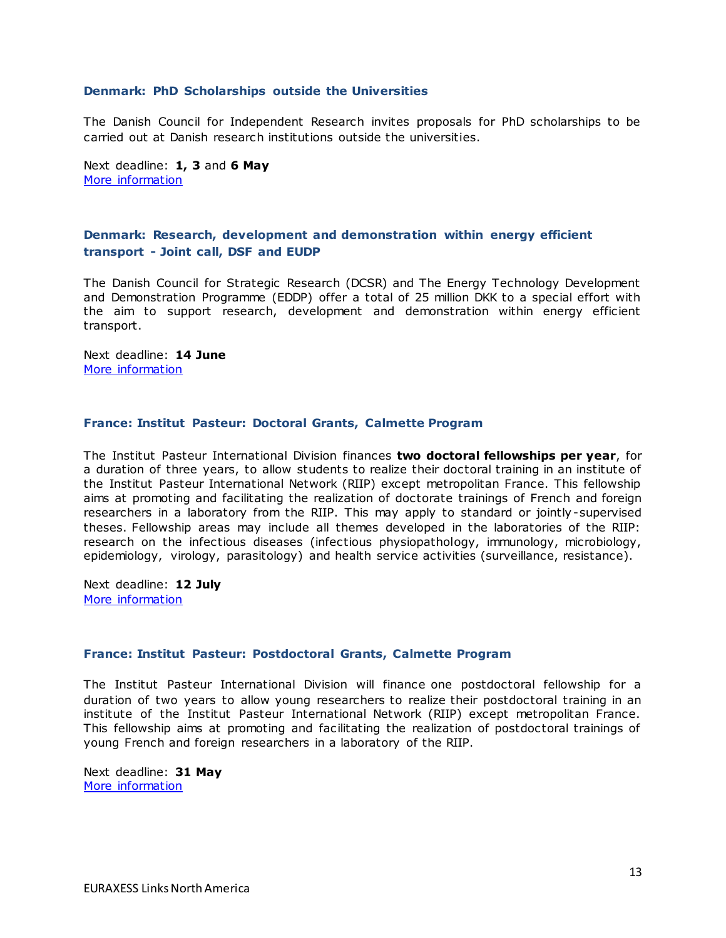### <span id="page-12-0"></span>**Denmark: PhD Scholarships outside the Universities**

The Danish Council for Independent Research invites proposals for PhD scholarships to be carried out at Danish research institutions outside the universities.

Next deadline: **1, 3** and **6 May** [More information](http://fivu.dk/en/research-and-innovation/funding-programmes-for-research-and-innovation/calls/2013/phd-scholarships-outside-the-universities)

# <span id="page-12-1"></span>**Denmark: Research, development and demonstration within energy efficient transport - Joint call, DSF and EUDP**

The Danish Council for Strategic Research (DCSR) and The Energy Technology Development and Demonstration Programme (EDDP) offer a total of 25 million DKK to a special effort with the aim to support research, development and demonstration within energy efficient transport.

Next deadline: **14 June** [More information](http://fivu.dk/en/research-and-innovation/funding-programmes-for-research-and-innovation/calls/2013/research-development-and-demonstration-within-enery-efficient-transport-joint-call-dsf-and-eudp)

### <span id="page-12-2"></span>**France: Institut Pasteur: Doctoral Grants, Calmette Program**

The Institut Pasteur International Division finances **two doctoral fellowships per year**, for a duration of three years, to allow students to realize their doctoral training in an institute of the Institut Pasteur International Network (RIIP) except metropolitan France. This fellowship aims at promoting and facilitating the realization of doctorate trainings of French and foreign researchers in a laboratory from the RIIP. This may apply to standard or jointly-supervised theses. Fellowship areas may include all themes developed in the laboratories of the RIIP: research on the infectious diseases (infectious physiopathology, immunology, microbiology, epidemiology, virology, parasitology) and health service activities (surveillance, resistance).

Next deadline: **12 July** [More information](http://www.pasteur-international.org/ip/easysite/pasteur-international-en/for-scientists/fellowships2/doctoral-grants2)

### <span id="page-12-3"></span>**France: Institut Pasteur: Postdoctoral Grants, Calmette Program**

The Institut Pasteur International Division will finance one postdoctoral fellowship for a duration of two years to allow young researchers to realize their postdoctoral training in an institute of the Institut Pasteur International Network (RIIP) except metropolitan France. This fellowship aims at promoting and facilitating the realization of postdoctoral trainings of young French and foreign researchers in a laboratory of the RIIP.

Next deadline: **31 May** [More information](http://www.pasteur-international.org/ip/easysite/pasteur-international-en/for-scientists/fellowships2/postdoctoral-grants)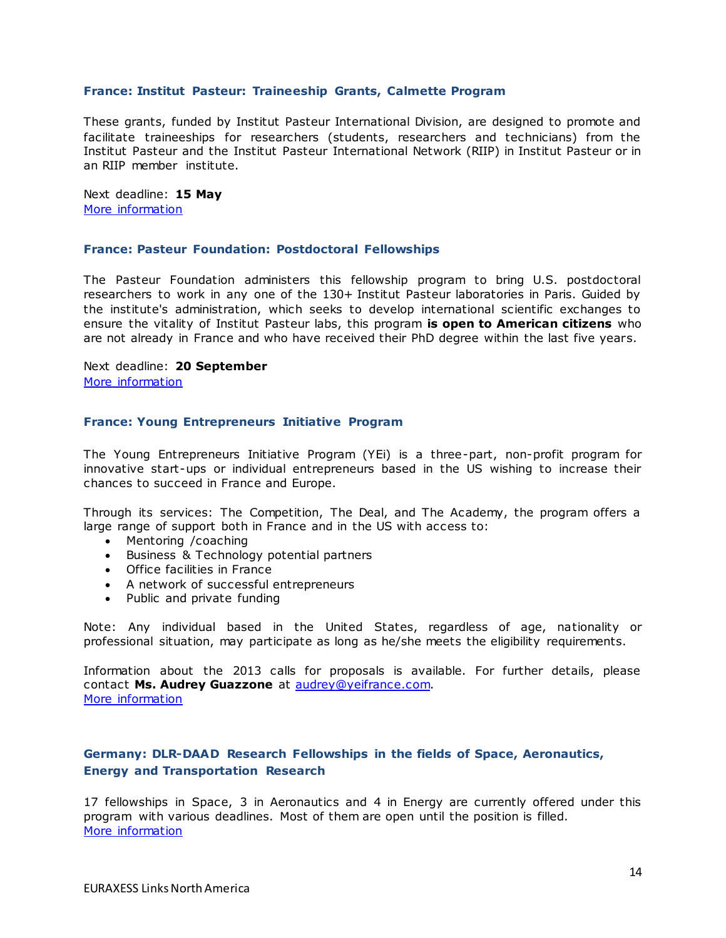## <span id="page-13-0"></span>**France: Institut Pasteur: Traineeship Grants, Calmette Program**

These grants, funded by Institut Pasteur International Division, are designed to promote and facilitate traineeships for researchers (students, researchers and technicians) from the Institut Pasteur and the Institut Pasteur International Network (RIIP) in Institut Pasteur or in an RIIP member institute.

Next deadline: **15 May** [More information](http://www.pasteur-international.org/ip/easysite/pasteur-international-en/for-scientists/fellowships2/traineeship-grants)

### <span id="page-13-1"></span>**France: Pasteur Foundation: Postdoctoral Fellowships**

The Pasteur Foundation administers this fellowship program to bring U.S. postdoctoral researchers to work in any one of the 130+ Institut Pasteur laboratories in Paris. Guided by the institute's administration, which seeks to develop international scientific exchanges to ensure the vitality of Institut Pasteur labs, this program **is open to American citizens** who are not already in France and who have received their PhD degree within the last five years.

# Next deadline: **20 September**

[More information](http://www.pasteurfoundation.org/fellowships.shtml)

### <span id="page-13-2"></span>**France: Young Entrepreneurs Initiative Program**

The Young Entrepreneurs Initiative Program (YEi) is a three-part, non-profit program for innovative start-ups or individual entrepreneurs based in the US wishing to increase their chances to succeed in France and Europe.

Through its services: The Competition, The Deal, and The Academy, the program offers a large range of support both in France and in the US with access to:

- Mentoring / coaching
- Business & Technology potential partners
- Office facilities in France
- A network of successful entrepreneurs
- Public and private funding

Note: Any individual based in the United States, regardless of age, nationality or professional situation, may participate as long as he/she meets the eligibility requirements.

Information about the 2013 calls for proposals is available. For further details, please contact **Ms. Audrey Guazzone** at [audrey@yeifrance.com.](mailto:audrey@yeifrance.com) [More information](http://www.yeifrance.com/)

# <span id="page-13-3"></span>**Germany: DLR-DAAD Research Fellowships in the fields of Space, Aeronautics, Energy and Transportation Research**

17 fellowships in Space, 3 in Aeronautics and 4 in Energy are currently offered under this program with various deadlines. Most of them are open until the position is filled. [More information](https://www.daad.de/deutschland/stipendium/datenbank/de/15371-dlr-daad-research-fellowships-current-offers/)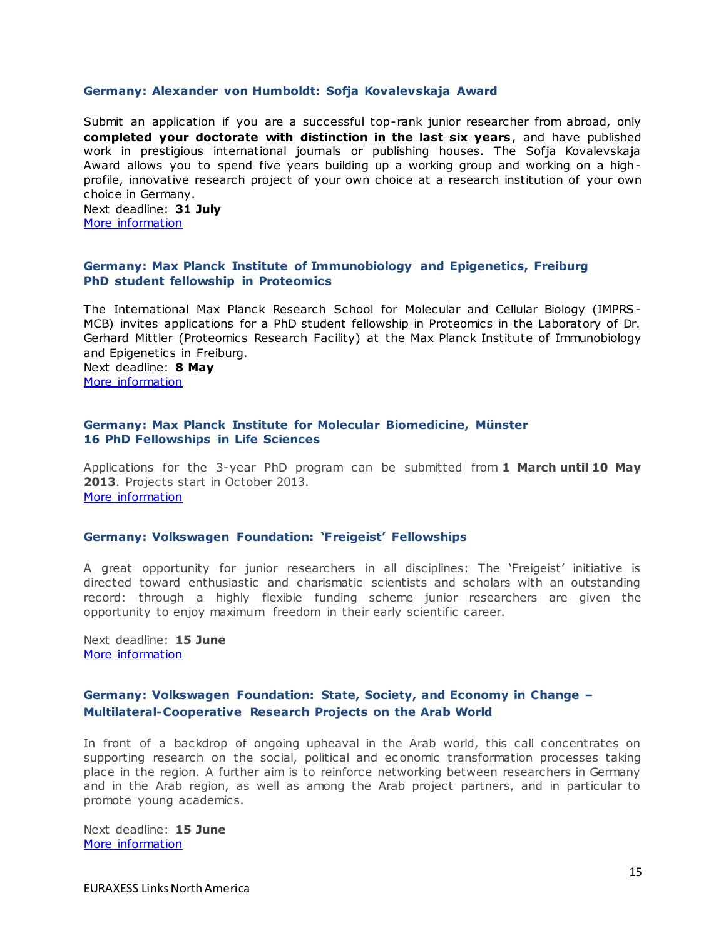### <span id="page-14-0"></span>**Germany: Alexander von Humboldt: Sofja Kovalevskaja Award**

Submit an application if you are a successful top-rank junior researcher from abroad, only **completed your doctorate with distinction in the last six years**, and have published work in prestigious international journals or publishing houses. The Sofja Kovalevskaja Award allows you to spend five years building up a working group and working on a highprofile, innovative research project of your own choice at a research institution of your own choice in Germany.

Next deadline: **31 July** [More information](http://www.humboldt-foundation.de/web/kovalevskaja-award.html)

### <span id="page-14-2"></span><span id="page-14-1"></span>**Germany: Max Planck Institute of Immunobiology and Epigenetics, Freiburg PhD student fellowship in Proteomics**

The International Max Planck Research School for Molecular and Cellular Biology (IMPRS-MCB) invites applications for a PhD student fellowship in Proteomics in the Laboratory of Dr. Gerhard Mittler (Proteomics Research Facility) at the Max Planck Institute of Immunobiology and Epigenetics in Freiburg. Next deadline: **8 May** [More information](http://www.mpg.de/7017237/PhD_student_fellowship_in_Proteomics)

### <span id="page-14-4"></span><span id="page-14-3"></span>**Germany: Max Planck Institute for Molecular Biomedicine, Münster 16 PhD Fellowships in Life Sciences**

Applications for the 3-year PhD program can be submitted from **1 March until 10 May 2013**. Projects start in October 2013. [More information](http://www.mpg.de/7002884/phd_fellowships_imprs-mbm)

### <span id="page-14-5"></span>**Germany: Volkswagen Foundation: 'Freigeist' Fellowships**

A great opportunity for junior researchers in all disciplines: The 'Freigeist' initiative is directed toward enthusiastic and charismatic scientists and scholars with an outstanding record: through a highly flexible funding scheme junior researchers are given the opportunity to enjoy maximum freedom in their early scientific career.

Next deadline: **15 June** [More information](http://www.volkswagenstiftung.de/fileadmin/downloads/merkblaetter/MB_99_e.pdf)

# <span id="page-14-6"></span>**Germany: Volkswagen Foundation: State, Society, and Economy in Change – Multilateral-Cooperative Research Projects on the Arab World**

In front of a backdrop of ongoing upheaval in the Arab world, this call concentrates on supporting research on the social, political and ec onomic transformation processes taking place in the region. A further aim is to reinforce networking between researchers in Germany and in the Arab region, as well as among the Arab project partners, and in particular to promote young academics.

Next deadline: **15 June** [More information](http://www.volkswagenstiftung.de/fileadmin/downloads/merkblaetter/MB_101_e.pdf)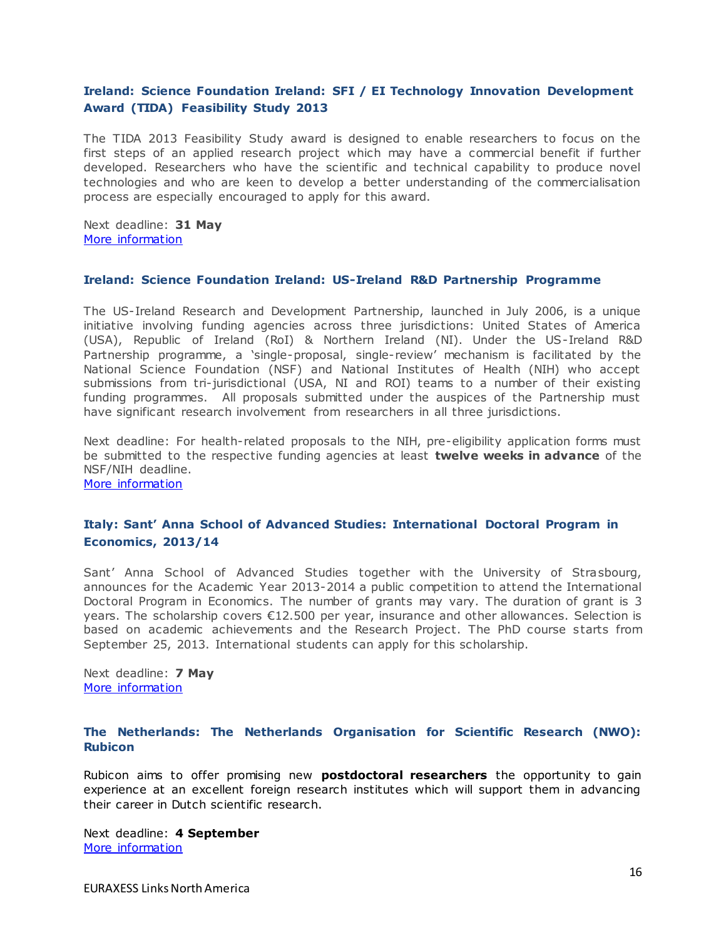# <span id="page-15-0"></span>**Ireland: Science Foundation Ireland: SFI / EI Technology Innovation Development Award (TIDA) Feasibility Study 2013**

The TIDA 2013 Feasibility Study award is designed to enable researchers to focus on the first steps of an applied research project which may have a commercial benefit if further developed. Researchers who have the scientific and technical capability to produce novel technologies and who are keen to develop a better understanding of the commercialisation process are especially encouraged to apply for this award.

Next deadline: **31 May** [More information](http://www.sfi.ie/funding/funding-calls/open-calls/sfi-ei-technology-innovation-development-award-tida-feasibility-study-2013/)

### <span id="page-15-1"></span>**Ireland: Science Foundation Ireland: US-Ireland R&D Partnership Programme**

The US-Ireland Research and Development Partnership, launched in July 2006, is a unique initiative involving funding agencies across three jurisdictions: United States of America (USA), Republic of Ireland (RoI) & Northern Ireland (NI). Under the US-Ireland R&D Partnership programme, a 'single-proposal, single-review' mechanism is facilitated by the National Science Foundation (NSF) and National Institutes of Health (NIH) who accept submissions from tri-jurisdictional (USA, NI and ROI) teams to a number of their existing funding programmes. All proposals submitted under the auspices of the Partnership must have significant research involvement from researchers in all three jurisdictions.

Next deadline: For health-related proposals to the NIH, pre-eligibility application forms must be submitted to the respective funding agencies at least **twelve weeks in advance** of the NSF/NIH deadline.

[More information](http://www.sfi.ie/funding/funding-calls/open-calls/us-ireland-rd-partnership-programme/)

# <span id="page-15-2"></span>**Italy: Sant' Anna School of Advanced Studies: International Doctoral Program in Economics, 2013/14**

Sant' Anna School of Advanced Studies together with the University of Strasbourg, announces for the Academic Year 2013-2014 a public competition to attend the International Doctoral Program in Economics. The number of grants may vary. The duration of grant is 3 years. The scholarship covers €12.500 per year, insurance and other allowances. Selection is based on academic achievements and the Research Project. The PhD course starts from September 25, 2013. International students can apply for this scholarship.

Next deadline: **7 May** [More information](http://www.sssup.it/ist_context.jsp?ID_LINK=3160&area=199)

## **The Netherlands: The Netherlands Organisation for Scientific Research (NWO): Rubicon**

Rubicon aims to offer promising new **postdoctoral researchers** the opportunity to gain experience at an excellent foreign research institutes which will support them in advancing their career in Dutch scientific research.

Next deadline: **4 September** [More information](http://www.nwo.nl/en/funding/our-funding-instruments/nwo/rubicon/rubicon.html)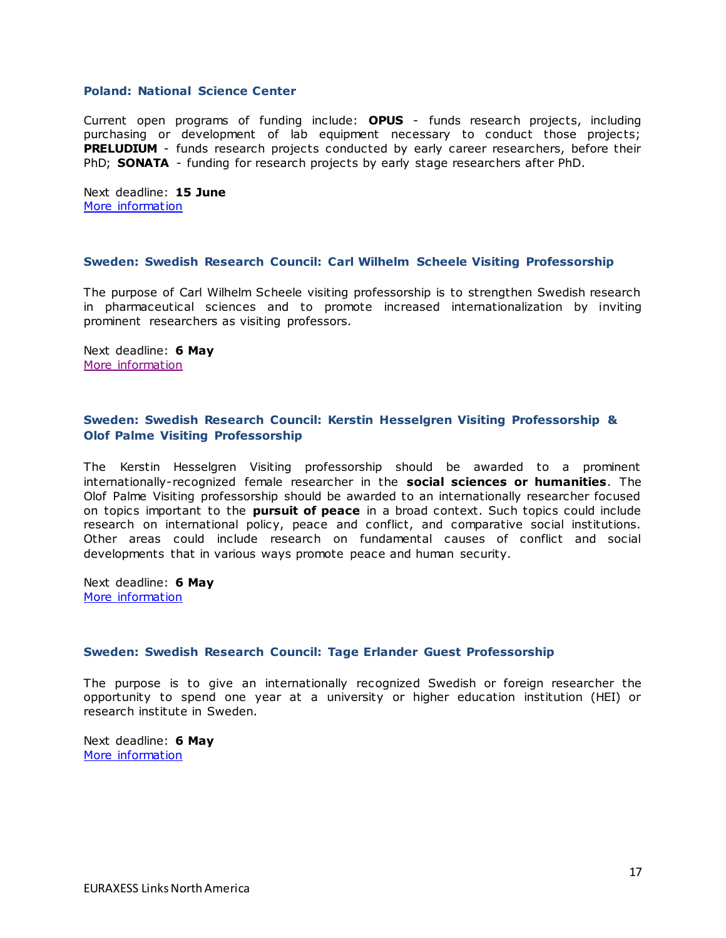## **Poland: National Science Center**

Current open programs of funding include: **OPUS** - funds research projects, including purchasing or development of lab equipment necessary to conduct those projects; **PRELUDIUM** - funds research projects conducted by early career researchers, before their PhD; **SONATA** - funding for research projects by early stage researchers after PhD.

Next deadline: **15 June** [More information](http://www.ncn.gov.pl/finansowanie-nauki/konkursy)

### <span id="page-16-0"></span>**Sweden: Swedish Research Council: Carl Wilhelm Scheele Visiting Professorship**

The purpose of Carl Wilhelm Scheele visiting professorship is to strengthen Swedish research in pharmaceutical sciences and to promote increased internationalization by inviting prominent researchers as visiting professors.

Next deadline: **6 May** [More information](http://www.vr.se/inenglish/researchfunding/applyforgrants/callforproposals/opengrants/carlwilhelmscheelevisitingprofessorship.5.4b1cd22413cb479b8056797.html)

# <span id="page-16-1"></span>**Sweden: Swedish Research Council: Kerstin Hesselgren Visiting Professorship & Olof Palme Visiting Professorship**

The Kerstin Hesselgren Visiting professorship should be awarded to a prominent internationally-recognized female researcher in the **social sciences or humanities**. The Olof Palme Visiting professorship should be awarded to an internationally researcher focused on topics important to the **pursuit of peace** in a broad context. Such topics could include research on international policy, peace and conflict, and comparative social institutions. Other areas could include research on fundamental causes of conflict and social developments that in various ways promote peace and human security.

Next deadline: **6 May** [More information](http://www.vr.se/inenglish/researchfunding/applyforgrants/callforproposals/opengrants/kerstinhesselgrenandolofpalmevisitingprofessorships.5.4b1cd22413cb479b8056668.html)

### <span id="page-16-2"></span>**Sweden: Swedish Research Council: Tage Erlander Guest Professorship**

The purpose is to give an internationally recognized Swedish or foreign researcher the opportunity to spend one year at a university or higher education institution (HEI) or research institute in Sweden.

Next deadline: **6 May** [More information](http://www.vr.se/inenglish/researchfunding/applyforgrants/callforproposals/opengrants/tageerlandervisitingprofessorship.5.4b1cd22413cb479b805677e.html)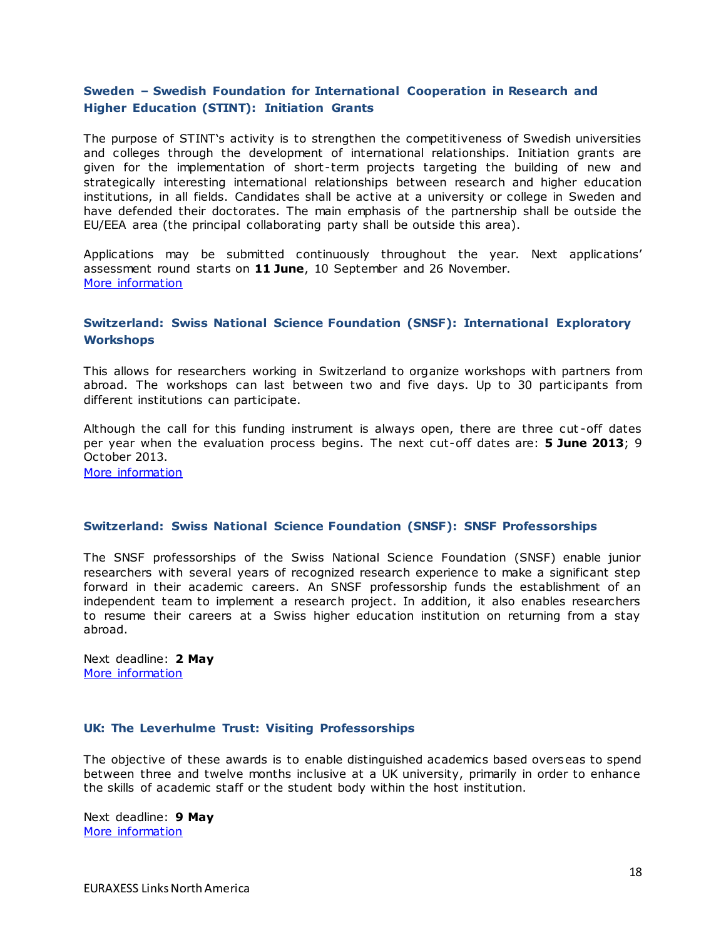# <span id="page-17-0"></span>**Sweden – Swedish Foundation for International Cooperation in Research and Higher Education (STINT): Initiation Grants**

The purpose of STINT's activity is to strengthen the competitiveness of Swedish universities and colleges through the development of international relationships. Initiation grants are given for the implementation of short -term projects targeting the building of new and strategically interesting international relationships between research and higher education institutions, in all fields. Candidates shall be active at a university or college in Sweden and have defended their doctorates. The main emphasis of the partnership shall be outside the EU/EEA area (the principal collaborating party shall be outside this area).

Applications may be submitted continuously throughout the year. Next applications' assessment round starts on **11 June**, 10 September and 26 November. [More information](http://www.stint.se/en/scholarships_and_grants/initiation_grants)

# <span id="page-17-1"></span>**Switzerland: Swiss National Science Foundation (SNSF): International Exploratory Workshops**

This allows for researchers working in Switzerland to organize workshops with partners from abroad. The workshops can last between two and five days. Up to 30 participants from different institutions can participate.

Although the call for this funding instrument is always open, there are three cut -off dates per year when the evaluation process begins. The next cut-off dates are: **5 June 2013**; 9 October 2013. [More information](http://www.snf.ch/E/international/worldwide/international-exploratory-workshops/Pages/default.aspx)

## <span id="page-17-2"></span>**Switzerland: Swiss National Science Foundation (SNSF): SNSF Professorships**

The SNSF professorships of the Swiss National Science Foundation (SNSF) enable junior researchers with several years of recognized research experience to make a significant step forward in their academic careers. An SNSF professorship funds the establishment of an independent team to implement a research project. In addition, it also enables researchers to resume their careers at a Swiss higher education institution on returning from a stay abroad.

Next deadline: **2 May** [More information](http://www.snf.ch/E/funding/individuals/professorships/Pages/default.aspx)

### <span id="page-17-3"></span>**UK: The Leverhulme Trust: Visiting Professorships**

The objective of these awards is to enable distinguished academics based overseas to spend between three and twelve months inclusive at a UK university, primarily in order to enhance the skills of academic staff or the student body within the host institution.

Next deadline: **9 May** [More information](http://www.leverhulme.ac.uk/funding/VP/VP.cfm)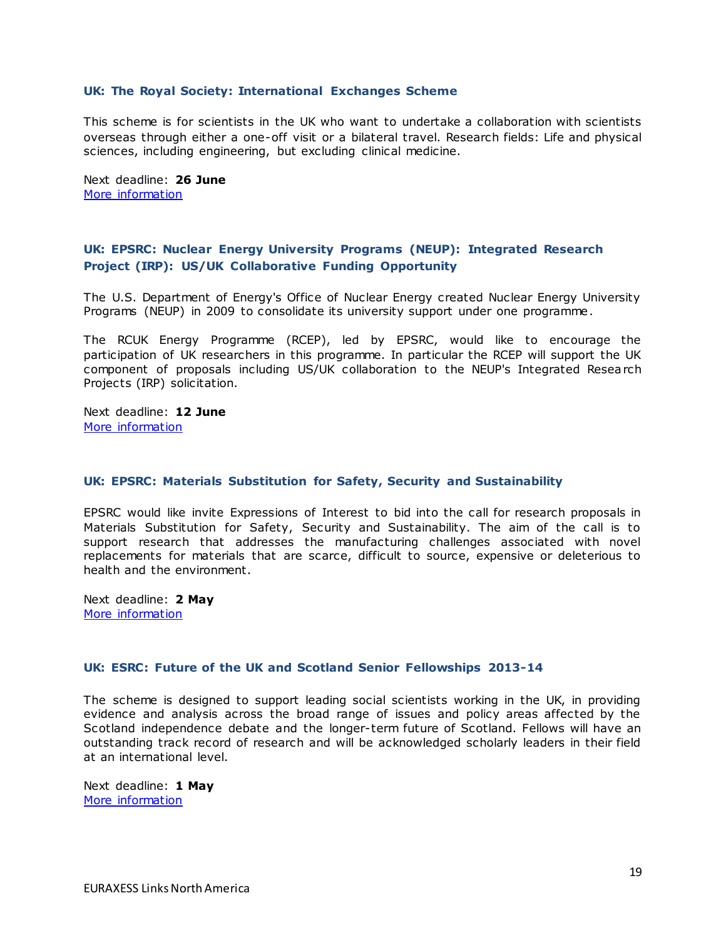### <span id="page-18-0"></span>**UK: The Royal Society: International Exchanges Scheme**

This scheme is for scientists in the UK who want to undertake a collaboration with scientists overseas through either a one-off visit or a bilateral travel. Research fields: Life and physical sciences, including engineering, but excluding clinical medicine.

Next deadline: **26 June** [More information](http://royalsociety.org/grants/schemes/international-exchanges/)

# <span id="page-18-1"></span>**UK: EPSRC: Nuclear Energy University Programs (NEUP): Integrated Research Project (IRP): US/UK Collaborative Funding Opportunity**

The U.S. Department of Energy's Office of Nuclear Energy created Nuclear Energy University Programs (NEUP) in 2009 to consolidate its university support under one programme.

The RCUK Energy Programme (RCEP), led by EPSRC, would like to encourage the participation of UK researchers in this programme. In particular the RCEP will support the UK component of proposals including US/UK collaboration to the NEUP's Integrated Research Projects (IRP) solicitation.

Next deadline: **12 June** [More information](http://www.epsrc.ac.uk/funding/calls/open/Pages/neup.aspx)

### <span id="page-18-2"></span>**UK: EPSRC: Materials Substitution for Safety, Security and Sustainability**

EPSRC would like invite Expressions of Interest to bid into the call for research proposals in Materials Substitution for Safety, Security and Sustainability. The aim of the call is to support research that addresses the manufacturing challenges associated with novel replacements for materials that are scarce, difficult to source, expensive or deleterious to health and the environment.

Next deadline: **2 May** [More information](http://www.epsrc.ac.uk/funding/calls/open/Pages/materialssubstitution.aspx)

### <span id="page-18-3"></span>**UK: ESRC: Future of the UK and Scotland Senior Fellowships 2013-14**

The scheme is designed to support leading social scientists working in the UK, in providing evidence and analysis across the broad range of issues and policy areas affected by the Scotland independence debate and the longer-term future of Scotland. Fellows will have an outstanding track record of research and will be acknowledged scholarly leaders in their field at an international level.

Next deadline: **1 May** [More information](http://www.esrc.ac.uk/funding-and-guidance/funding-opportunities/25414/latest-opportunities-13.aspx)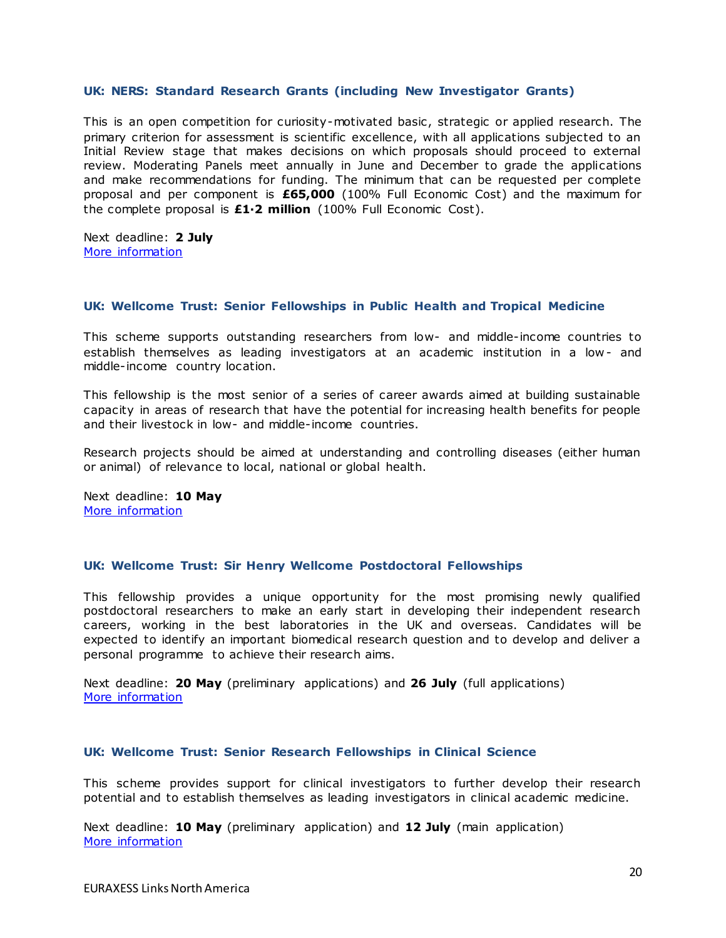### <span id="page-19-0"></span>**UK: NERS: Standard Research Grants (including New Investigator Grants)**

This is an open competition for curiosity-motivated basic, strategic or applied research. The primary criterion for assessment is scientific excellence, with all applications subjected to an Initial Review stage that makes decisions on which proposals should proceed to external review. Moderating Panels meet annually in June and December to grade the applications and make recommendations for funding. The minimum that can be requested per complete proposal and per component is **£65,000** (100% Full Economic Cost) and the maximum for the complete proposal is **£1·2 million** (100% Full Economic Cost).

Next deadline: **2 July** [More information](http://www.nerc.ac.uk/funding/available/researchgrants/typesofaward/standards.asp)

### <span id="page-19-1"></span>**UK: Wellcome Trust: Senior Fellowships in Public Health and Tropical Medicine**

This scheme supports outstanding researchers from low- and middle-income countries to establish themselves as leading investigators at an academic institution in a low- and middle-income country location.

This fellowship is the most senior of a series of career awards aimed at building sustainable capacity in areas of research that have the potential for increasing health benefits for people and their livestock in low- and middle-income countries.

Research projects should be aimed at understanding and controlling diseases (either human or animal) of relevance to local, national or global health.

Next deadline: **10 May** [More information](http://www.wellcome.ac.uk/Funding/Biomedical-science/Funding-schemes/Fellowships/Public-health-and-tropical-medicine/WTD025884.htm)

### <span id="page-19-2"></span>**UK: Wellcome Trust: Sir Henry Wellcome Postdoctoral Fellowships**

This fellowship provides a unique opportunity for the most promising newly qualified postdoctoral researchers to make an early start in developing their independent research careers, working in the best laboratories in the UK and overseas. Candidates will be expected to identify an important biomedical research question and to develop and deliver a personal programme to achieve their research aims.

Next deadline: **20 May** (preliminary applications) and **26 July** (full applications) [More information](http://www.wellcome.ac.uk/Funding/Biomedical-science/Funding-schemes/Fellowships/Basic-biomedical-fellowships/WTX033549.htm)

### <span id="page-19-3"></span>**UK: Wellcome Trust: Senior Research Fellowships in Clinical Science**

This scheme provides support for clinical investigators to further develop their research potential and to establish themselves as leading investigators in clinical academic medicine.

Next deadline: **10 May** (preliminary application) and **12 July** (main application) [More information](http://www.wellcome.ac.uk/Funding/Biomedical-science/Funding-schemes/Fellowships/Clinical-fellowships/WTD004445.htm)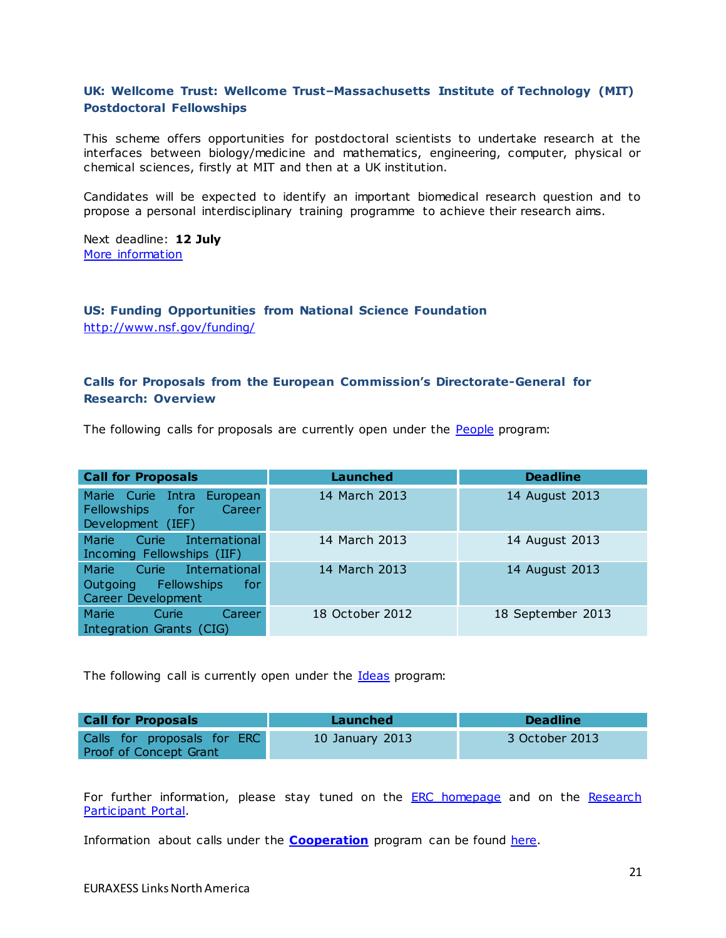# <span id="page-20-0"></span>**UK: Wellcome Trust: Wellcome Trust–Massachusetts Institute of Technology (MIT) Postdoctoral Fellowships**

This scheme offers opportunities for postdoctoral scientists to undertake research at the interfaces between biology/medicine and mathematics, engineering, computer, physical or chemical sciences, firstly at MIT and then at a UK institution.

Candidates will be expected to identify an important biomedical research question and to propose a personal interdisciplinary training programme to achieve their research aims.

Next deadline: **12 July** [More information](http://www.wellcome.ac.uk/Funding/Biomedical-science/Funding-schemes/Fellowships/International-fellowships/WTX054661.htm)

# <span id="page-20-1"></span>**US: Funding Opportunities from National Science Foundation** <http://www.nsf.gov/funding/>

# <span id="page-20-2"></span>**Calls for Proposals from the European Commission's Directorate-General for Research: Overview**

The following calls for proposals are currently open under the **People** program:

| <b>Call for Proposals</b>                                                      | <b>Launched</b> | <b>Deadline</b>   |
|--------------------------------------------------------------------------------|-----------------|-------------------|
| Marie Curie Intra European<br>Fellowships for<br>Career<br>Development (IEF)   | 14 March 2013   | 14 August 2013    |
| International<br>Marie Curie<br>Incoming Fellowships (IIF)                     | 14 March 2013   | 14 August 2013    |
| Marie Curie International<br>Outgoing Fellowships<br>for<br>Career Development | 14 March 2013   | 14 August 2013    |
| <b>Marie</b><br>Curie<br>Career<br>Integration Grants (CIG)                    | 18 October 2012 | 18 September 2013 |

The following call is currently open under the [Ideas](http://ec.europa.eu/research/participants/portal/appmanager/participants/portal?_nfpb=true&_windowLabel=portletInstance_60&portletInstance_60_actionOverride=%2Fportlets%2Fcall%2Ffp7CallMenu%2Fgo2Ideas&_pageLabel=call_FP7#wlp_portletInstance_60) program:

| <b>Call for Proposals</b>   | Launched        | <b>Deadline</b> |
|-----------------------------|-----------------|-----------------|
| Calls for proposals for ERC | 10 January 2013 | 3 October 2013  |
| Proof of Concept Grant      |                 |                 |

For further information, please stay tuned on the [ERC homepage](http://erc.europa.eu/) and on the Research [Participant Portal.](http://ec.europa.eu/research/participants/portal/page/home)

Information about calls under the **[Cooperation](http://cordis.europa.eu/fp7/cooperation/home_en.html)** program can be found [here.](http://ec.europa.eu/research/participants/portal/page/calls)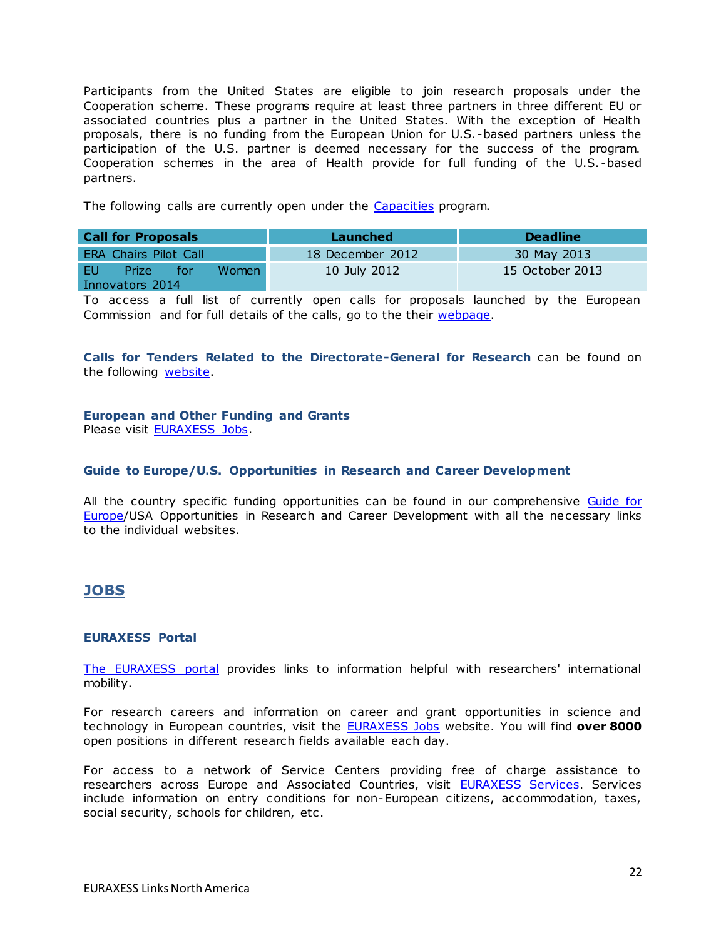Participants from the United States are eligible to join research proposals under the Cooperation scheme. These programs require at least three partners in three different EU or associated countries plus a partner in the United States. With the exception of Health proposals, there is no funding from the European Union for U.S.-based partners unless the participation of the U.S. partner is deemed necessary for the success of the program. Cooperation schemes in the area of Health provide for full funding of the U.S. -based partners.

The following calls are currently open under the [Capacities](http://ec.europa.eu/research/participants/portal/appmanager/participants/portal?_nfpb=true&_windowLabel=portletInstance_60&portletInstance_60_actionOverride=%2Fportlets%2Fcall%2Ffp7CallMenu%2Fgo2Capacities&_pageLabel=call_FP7#wlp_portletInstance_60) program.

| <b>Call for Proposals</b>    |       | Launched         | <b>Deadline</b> |
|------------------------------|-------|------------------|-----------------|
| <b>ERA Chairs Pilot Call</b> |       | 18 December 2012 | 30 May 2013     |
| FU<br><b>Prize</b><br>/for   | Women | 10 July 2012     | 15 October 2013 |
| Innovators 2014              |       |                  |                 |

To access a full list of currently open calls for proposals launched by the European Commission and for full details of the calls, go to the thei[r webpage.](http://ec.europa.eu/research/participants/portal/page/calls)

<span id="page-21-0"></span>**Calls for Tenders Related to the Directorate-General for Research** can be found on the following [website.](http://ec.europa.eu/research/dgs/tenders/open_en.cfm)

### **European and Other Funding and Grants**

Please visit [EURAXESS Jobs.](http://ec.europa.eu/euraxess/index.cfm/jobs/index)

### <span id="page-21-1"></span>**Guide to Europe/U.S. Opportunities in Research and Career Development**

All the country specific funding opportunities can be found in our comprehensive Guide for [Europe/](http://ec.europa.eu/euraxess/links/usa/funding_opportunities_en.htm)USA Opportunities in Research and Career Development with all the necessary links to the individual websites.

# <span id="page-21-2"></span>**JOBS**

### <span id="page-21-3"></span>**EURAXESS Portal**

[The EURAXESS portal](http://ec.europa.eu/euraxess/index.cfm/general/index) provides links to information helpful with researchers' international mobility.

For research careers and information on career and grant opportunities in science and technology in European countries, visit the [EURAXESS Jobs](http://ec.europa.eu/euraxess/index.cfm/jobs/index) website. You will find **over 8000** open positions in different research fields available each day.

For access to a network of Service Centers providing free of charge assistance to researchers across Europe and Associated Countries, visit [EURAXESS Services.](http://ec.europa.eu/euraxess/index.cfm/services/index) Services include information on entry conditions for non-European citizens, accommodation, taxes, social security, schools for children, etc.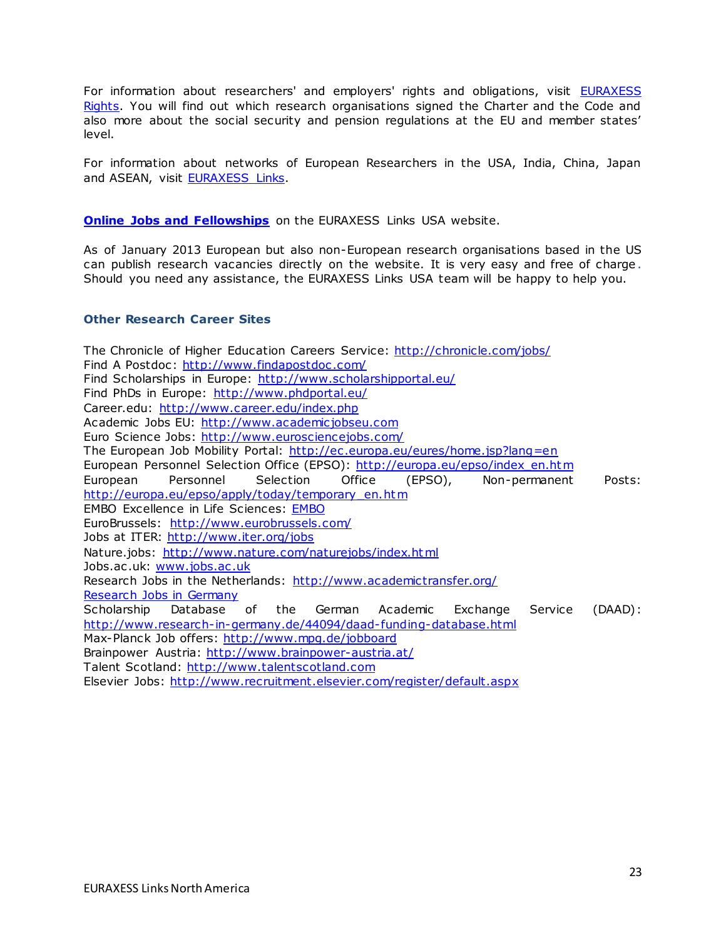For information about researchers' and employers' rights and obligations, visit **EURAXESS** [Rights.](http://ec.europa.eu/euraxess/index.cfm/rights/index) You will find out which research organisations signed the Charter and the Code and also more about the social security and pension regulations at the EU and member states' level.

For information about networks of European Researchers in the USA, India, China, Japan and ASEAN, visit [EURAXESS Links.](http://ec.europa.eu/euraxess/links/index_en.htm?CFID=11359184&CFTOKEN=f091c6e9d611fc5e-36385075-A3C1-573C-6964EDADAAF522B5&jsessionid=b102931478fb2f85c1d845717b67451a124eTR)

**[Online Jobs and Fellowships](http://ec.europa.eu/euraxess/links/usa/index_en.htm)** on the EURAXESS Links USA website.

As of January 2013 European but also non-European research organisations based in the US can publish research vacancies directly on the website. It is very easy and free of charge . Should you need any assistance, the EURAXESS Links USA team will be happy to help you.

# <span id="page-22-0"></span>**Other Research Career Sites**

The Chronicle of Higher Education Careers Service:<http://chronicle.com/jobs/> Find A Postdoc: http://www.findapostdoc.com/ Find Scholarships in Europe:<http://www.scholarshipportal.eu/> Find PhDs in Europe:<http://www.phdportal.eu/> Career.edu:<http://www.career.edu/index.php> Academic Jobs EU: [http://www.academic jobseu.com](http://www.academicjobseu.com/)  Euro Science Jobs:<http://www.eurosciencejobs.com/> The European Job Mobility Portal: [http://ec .europa.eu/eures/home.jsp?lang=en](http://ec.europa.eu/eures/home.jsp?lang=en)  European Personnel Selection Office (EPSO): [http://europa.eu/epso/index\\_en.htm](http://europa.eu/epso/index_en.htm)  European Personnel Selection Office (EPSO), Non-permanent Posts: http://europa.eu/epso/apply/today/temporary\_en.htm EMBO Excellence in Life Sciences: [EMBO](http://www.embo.org/) EuroBrussels: <http://www.eurobrussels.com/> Jobs at ITER: http://www.iter.org/jobs Nature.jobs: http://www.nature.com/naturejobs/index.html Jobs.ac.uk: www.jobs.ac.uk Research Jobs in the Netherlands: http://www.academictransfer.org/ [Research Jobs in Germany](http://www.research-in-germany.de/research-career-in-germany/jobs/29640/academics-com-i-frame.html) Scholarship Database of the German Academic Exchange Service (DAAD): <http://www.research-in-germany.de/44094/daad-funding-database.html> Max-Planck Job offers:<http://www.mpg.de/jobboard> Brainpower Austria: http://www.brainpower-austria.at/ Talent Scotland: [http://www.talentscotland.com](http://www.talentscotland.com/)  Elsevier Jobs:<http://www.recruitment.elsevier.com/register/default.aspx>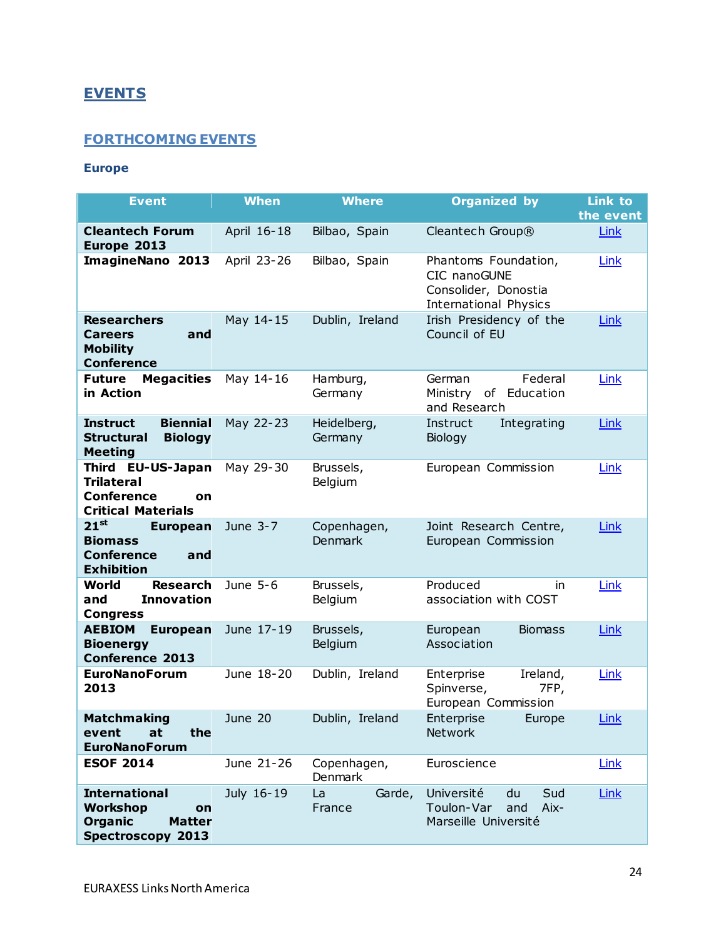# <span id="page-23-0"></span>**EVENTS**

# <span id="page-23-1"></span>**FORTHCOMING EVENTS**

# <span id="page-23-2"></span>**Europe**

| <b>Event</b>                                                                                                 | <b>When</b> | <b>Where</b>                  | <b>Organized by</b>                                                                          | <b>Link to</b><br>the event |
|--------------------------------------------------------------------------------------------------------------|-------------|-------------------------------|----------------------------------------------------------------------------------------------|-----------------------------|
| <b>Cleantech Forum</b><br>Europe 2013                                                                        | April 16-18 | Bilbao, Spain                 | Cleantech Group®                                                                             | Link                        |
| <b>ImagineNano 2013</b>                                                                                      | April 23-26 | Bilbao, Spain                 | Phantoms Foundation,<br>CIC nanoGUNE<br>Consolider, Donostia<br><b>International Physics</b> | Link                        |
| <b>Researchers</b><br><b>Careers</b><br>and<br><b>Mobility</b><br><b>Conference</b>                          | May 14-15   | Dublin, Ireland               | Irish Presidency of the<br>Council of EU                                                     | Link                        |
| <b>Future</b><br><b>Megacities</b><br>in Action                                                              | May 14-16   | Hamburg,<br>Germany           | Federal<br>German<br>Ministry<br>of Education<br>and Research                                | Link                        |
| <b>Biennial</b><br><b>Instruct</b><br><b>Structural</b><br><b>Biology</b><br><b>Meeting</b>                  | May 22-23   | Heidelberg,<br>Germany        | Integrating<br>Instruct<br>Biology                                                           | Link                        |
| Third EU-US-Japan<br><b>Trilateral</b><br><b>Conference</b><br>on<br><b>Critical Materials</b>               | May 29-30   | Brussels,<br>Belgium          | European Commission                                                                          | Link                        |
| $21^{st}$<br><b>European</b><br><b>Biomass</b><br><b>Conference</b><br>and<br><b>Exhibition</b>              | June 3-7    | Copenhagen,<br><b>Denmark</b> | Joint Research Centre,<br>European Commission                                                | Link                        |
| World<br><b>Research</b><br><b>Innovation</b><br>and<br><b>Congress</b>                                      | June 5-6    | Brussels,<br>Belgium          | Produced<br>in<br>association with COST                                                      | Link                        |
| <b>AEBIOM</b><br><b>European</b><br><b>Bioenergy</b><br><b>Conference 2013</b>                               | June 17-19  | Brussels,<br>Belgium          | European<br><b>Biomass</b><br>Association                                                    | Link                        |
| <b>EuroNanoForum</b><br>2013                                                                                 | June 18-20  | Dublin, Ireland               | Enterprise<br>Ireland,<br>Spinverse,<br>7FP,<br>European Commission                          | Link                        |
| <b>Matchmaking</b><br>event<br>at<br>the<br><b>EuroNanoForum</b>                                             | June 20     | Dublin, Ireland               | Enterprise<br>Europe<br>Network                                                              | Link                        |
| <b>ESOF 2014</b>                                                                                             | June 21-26  | Copenhagen,<br>Denmark        | Euroscience                                                                                  | Link                        |
| <b>International</b><br><b>Workshop</b><br>on<br><b>Organic</b><br><b>Matter</b><br><b>Spectroscopy 2013</b> | July 16-19  | La<br>Garde,<br>France        | Université<br>Sud<br>du<br>Toulon-Var<br>and<br>Aix-<br>Marseille Université                 | Link                        |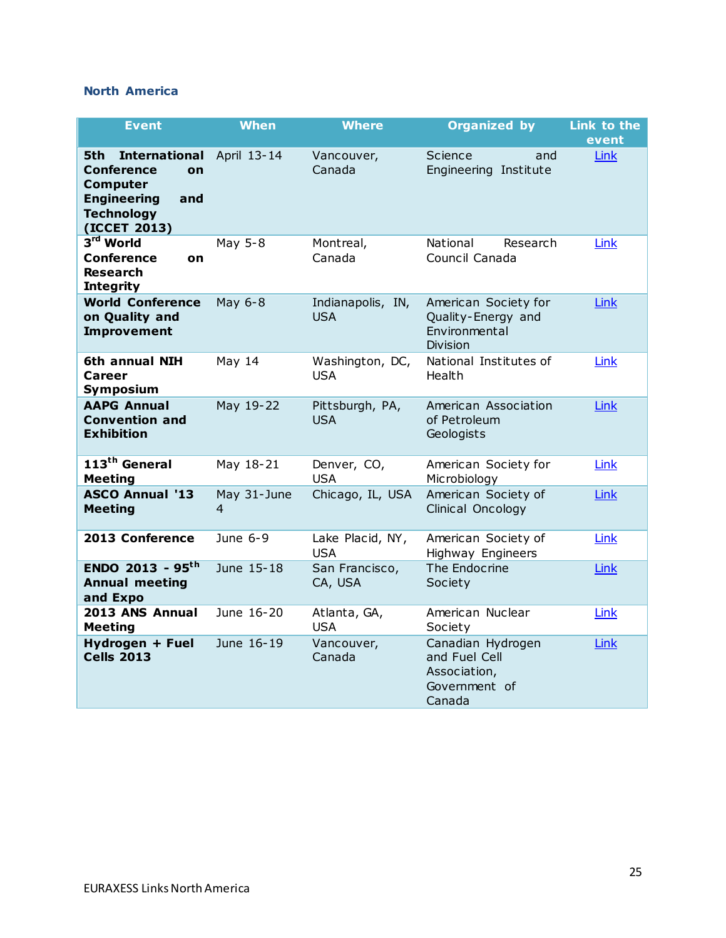# <span id="page-24-0"></span>**North America**

| <b>Event</b>                                                                                                                                | <b>When</b>      | <b>Where</b>                    | <b>Organized by</b>                                                           | Link to the<br>event |
|---------------------------------------------------------------------------------------------------------------------------------------------|------------------|---------------------------------|-------------------------------------------------------------------------------|----------------------|
| <b>International</b><br>5th<br><b>Conference</b><br>on<br><b>Computer</b><br><b>Engineering</b><br>and<br><b>Technology</b><br>(ICCET 2013) | April 13-14      | Vancouver,<br>Canada            | Science<br>and<br>Engineering Institute                                       | Link                 |
| 3rd World<br><b>Conference</b><br>on<br><b>Research</b><br><b>Integrity</b>                                                                 | May 5-8          | Montreal,<br>Canada             | National<br>Research<br>Council Canada                                        | Link                 |
| <b>World Conference</b><br>on Quality and<br>Improvement                                                                                    | May 6-8          | Indianapolis, IN,<br><b>USA</b> | American Society for<br>Quality-Energy and<br>Environmental<br>Division       | Link                 |
| 6th annual NIH<br>Career<br>Symposium                                                                                                       | May 14           | Washington, DC,<br><b>USA</b>   | National Institutes of<br>Health                                              | Link                 |
| <b>AAPG Annual</b><br><b>Convention and</b><br><b>Exhibition</b>                                                                            | May 19-22        | Pittsburgh, PA,<br><b>USA</b>   | American Association<br>of Petroleum<br>Geologists                            | Link                 |
| 113 <sup>th</sup> General<br><b>Meeting</b>                                                                                                 | May 18-21        | Denver, CO,<br><b>USA</b>       | American Society for<br>Microbiology                                          | Link                 |
| <b>ASCO Annual '13</b><br><b>Meeting</b>                                                                                                    | May 31-June<br>4 | Chicago, IL, USA                | American Society of<br>Clinical Oncology                                      | Link                 |
| 2013 Conference                                                                                                                             | June 6-9         | Lake Placid, NY,<br><b>USA</b>  | American Society of<br><b>Highway Engineers</b>                               | Link                 |
| ENDO 2013 - $95^{th}$<br><b>Annual meeting</b><br>and Expo                                                                                  | June 15-18       | San Francisco,<br>CA, USA       | The Endocrine<br>Society                                                      | Link                 |
| 2013 ANS Annual<br><b>Meeting</b>                                                                                                           | June 16-20       | Atlanta, GA,<br><b>USA</b>      | American Nuclear<br>Society                                                   | Link                 |
| Hydrogen + Fuel<br><b>Cells 2013</b>                                                                                                        | June 16-19       | Vancouver,<br>Canada            | Canadian Hydrogen<br>and Fuel Cell<br>Association,<br>Government of<br>Canada | Link                 |